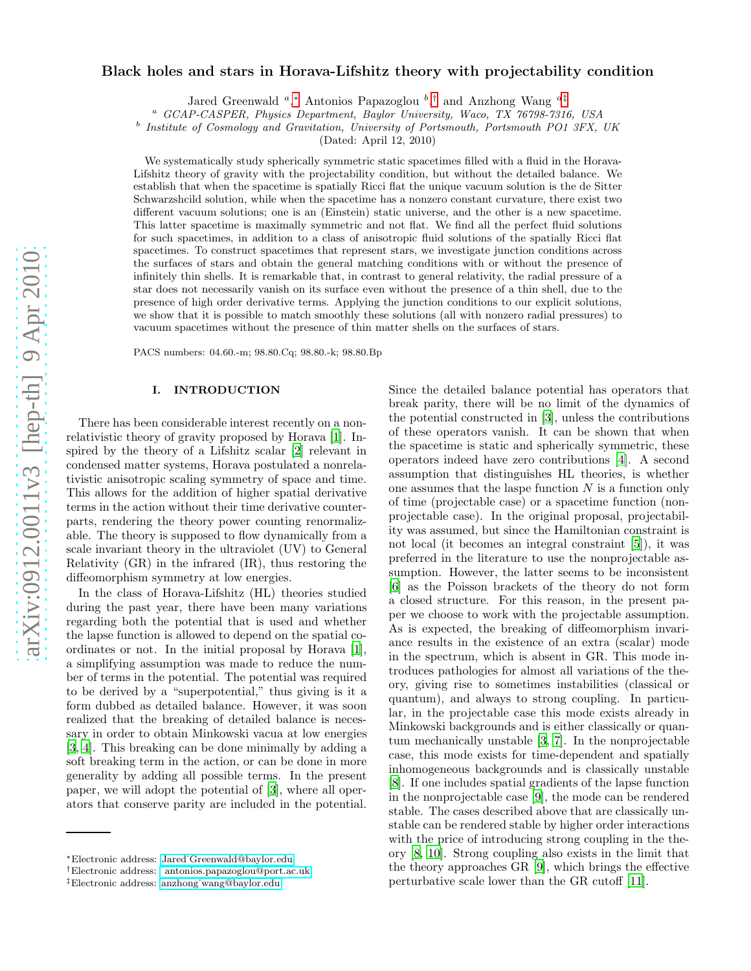### Black holes and stars in Horava-Lifshitz theory with projectability condition

Jared Greenwald<sup>a</sup>,<sup>\*</sup> Antonios Papazoglou<sup>b</sup>,<sup>[†](#page-0-1)</sup> and Anzhong Wang<sup>a[‡](#page-0-2)</sup>

<sup>a</sup> GCAP-CASPER, Physics Department, Baylor University, Waco, TX 76798-7316, USA

<sup>b</sup> Institute of Cosmology and Gravitation, University of Portsmouth, Portsmouth PO1 3FX, UK

(Dated: April 12, 2010)

We systematically study spherically symmetric static spacetimes filled with a fluid in the Horava-Lifshitz theory of gravity with the projectability condition, but without the detailed balance. We establish that when the spacetime is spatially Ricci flat the unique vacuum solution is the de Sitter Schwarzshcild solution, while when the spacetime has a nonzero constant curvature, there exist two different vacuum solutions; one is an (Einstein) static universe, and the other is a new spacetime. This latter spacetime is maximally symmetric and not flat. We find all the perfect fluid solutions for such spacetimes, in addition to a class of anisotropic fluid solutions of the spatially Ricci flat spacetimes. To construct spacetimes that represent stars, we investigate junction conditions across the surfaces of stars and obtain the general matching conditions with or without the presence of infinitely thin shells. It is remarkable that, in contrast to general relativity, the radial pressure of a star does not necessarily vanish on its surface even without the presence of a thin shell, due to the presence of high order derivative terms. Applying the junction conditions to our explicit solutions, we show that it is possible to match smoothly these solutions (all with nonzero radial pressures) to vacuum spacetimes without the presence of thin matter shells on the surfaces of stars.

PACS numbers: 04.60.-m; 98.80.Cq; 98.80.-k; 98.80.Bp

#### I. INTRODUCTION

There has been considerable interest recently on a nonrelativistic theory of gravity proposed by Horava [\[1\]](#page-17-0). Inspired by the theory of a Lifshitz scalar [\[2](#page-17-1)] relevant in condensed matter systems, Horava postulated a nonrelativistic anisotropic scaling symmetry of space and time. This allows for the addition of higher spatial derivative terms in the action without their time derivative counterparts, rendering the theory power counting renormalizable. The theory is supposed to flow dynamically from a scale invariant theory in the ultraviolet (UV) to General Relativity (GR) in the infrared (IR), thus restoring the diffeomorphism symmetry at low energies.

In the class of Horava-Lifshitz (HL) theories studied during the past year, there have been many variations regarding both the potential that is used and whether the lapse function is allowed to depend on the spatial coordinates or not. In the initial proposal by Horava [\[1\]](#page-17-0), a simplifying assumption was made to reduce the number of terms in the potential. The potential was required to be derived by a "superpotential," thus giving is it a form dubbed as detailed balance. However, it was soon realized that the breaking of detailed balance is necessary in order to obtain Minkowski vacua at low energies [\[3,](#page-17-2) [4\]](#page-17-3). This breaking can be done minimally by adding a soft breaking term in the action, or can be done in more generality by adding all possible terms. In the present paper, we will adopt the potential of [\[3\]](#page-17-2), where all operators that conserve parity are included in the potential.

Since the detailed balance potential has operators that break parity, there will be no limit of the dynamics of the potential constructed in [\[3](#page-17-2)], unless the contributions of these operators vanish. It can be shown that when the spacetime is static and spherically symmetric, these operators indeed have zero contributions [\[4](#page-17-3)]. A second assumption that distinguishes HL theories, is whether one assumes that the laspe function  $N$  is a function only of time (projectable case) or a spacetime function (nonprojectable case). In the original proposal, projectability was assumed, but since the Hamiltonian constraint is not local (it becomes an integral constraint [\[5\]](#page-17-4)), it was preferred in the literature to use the nonprojectable assumption. However, the latter seems to be inconsistent [\[6\]](#page-17-5) as the Poisson brackets of the theory do not form a closed structure. For this reason, in the present paper we choose to work with the projectable assumption. As is expected, the breaking of diffeomorphism invariance results in the existence of an extra (scalar) mode in the spectrum, which is absent in GR. This mode introduces pathologies for almost all variations of the theory, giving rise to sometimes instabilities (classical or quantum), and always to strong coupling. In particular, in the projectable case this mode exists already in Minkowski backgrounds and is either classically or quantum mechanically unstable [\[3,](#page-17-2) [7\]](#page-17-6). In the nonprojectable case, this mode exists for time-dependent and spatially inhomogeneous backgrounds and is classically unstable [\[8\]](#page-17-7). If one includes spatial gradients of the lapse function in the nonprojectable case [\[9](#page-17-8)], the mode can be rendered stable. The cases described above that are classically unstable can be rendered stable by higher order interactions with the price of introducing strong coupling in the theory [\[8,](#page-17-7) [10\]](#page-17-9). Strong coupling also exists in the limit that the theory approaches GR [\[9\]](#page-17-8), which brings the effective perturbative scale lower than the GR cutoff [\[11\]](#page-17-10).

<span id="page-0-0"></span><sup>∗</sup>Electronic address: [Jared˙Greenwald@baylor.edu](mailto:Jared_Greenwald@baylor.edu)

<span id="page-0-1"></span><sup>†</sup>Electronic address: [antonios.papazoglou@port.ac.uk](mailto: antonios.papazoglou@port.ac.uk)

<span id="page-0-2"></span><sup>‡</sup>Electronic address: [anzhong˙wang@baylor.edu](mailto:anzhong_wang@baylor.edu)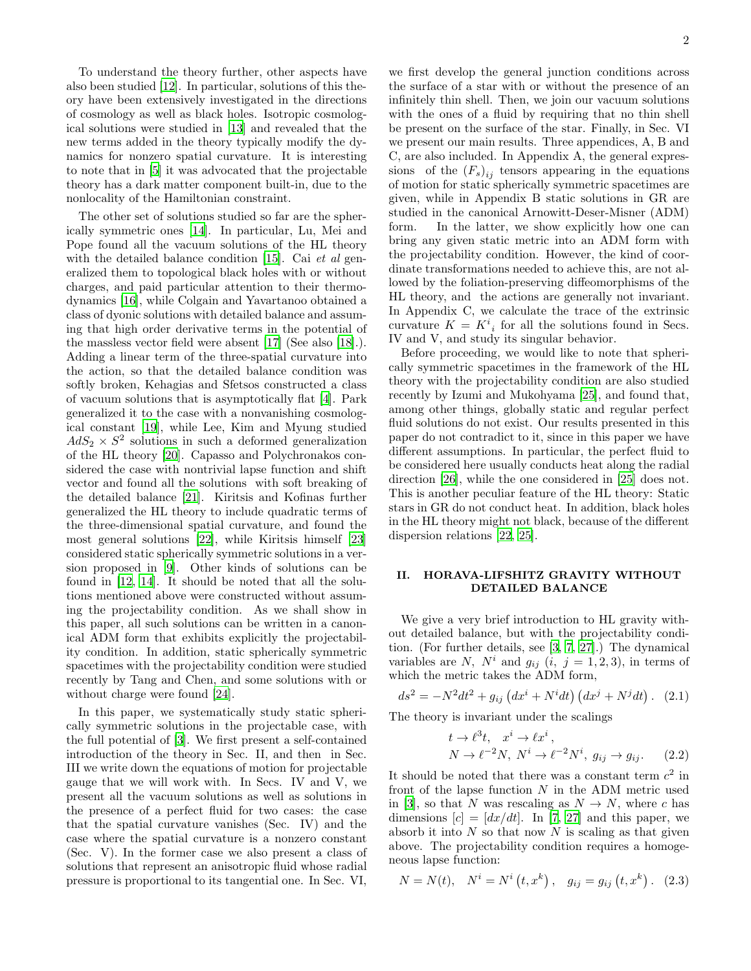To understand the theory further, other aspects have also been studied [\[12\]](#page-17-11). In particular, solutions of this theory have been extensively investigated in the directions of cosmology as well as black holes. Isotropic cosmological solutions were studied in [\[13\]](#page-18-0) and revealed that the new terms added in the theory typically modify the dynamics for nonzero spatial curvature. It is interesting to note that in [\[5](#page-17-4)] it was advocated that the projectable theory has a dark matter component built-in, due to the nonlocality of the Hamiltonian constraint.

The other set of solutions studied so far are the spherically symmetric ones [\[14\]](#page-18-1). In particular, Lu, Mei and Pope found all the vacuum solutions of the HL theory with the detailed balance condition [\[15\]](#page-18-2). Cai *et al* generalized them to topological black holes with or without charges, and paid particular attention to their thermodynamics [\[16\]](#page-19-0), while Colgain and Yavartanoo obtained a class of dyonic solutions with detailed balance and assuming that high order derivative terms in the potential of the massless vector field were absent [\[17\]](#page-19-1) (See also [\[18\]](#page-19-2).). Adding a linear term of the three-spatial curvature into the action, so that the detailed balance condition was softly broken, Kehagias and Sfetsos constructed a class of vacuum solutions that is asymptotically flat [\[4](#page-17-3)]. Park generalized it to the case with a nonvanishing cosmological constant [\[19\]](#page-19-3), while Lee, Kim and Myung studied  $AdS_2 \times S^2$  solutions in such a deformed generalization of the HL theory [\[20\]](#page-19-4). Capasso and Polychronakos considered the case with nontrivial lapse function and shift vector and found all the solutions with soft breaking of the detailed balance [\[21](#page-19-5)]. Kiritsis and Kofinas further generalized the HL theory to include quadratic terms of the three-dimensional spatial curvature, and found the most general solutions [\[22](#page-19-6)], while Kiritsis himself [\[23](#page-19-7)] considered static spherically symmetric solutions in a version proposed in [\[9\]](#page-17-8). Other kinds of solutions can be found in [\[12,](#page-17-11) [14\]](#page-18-1). It should be noted that all the solutions mentioned above were constructed without assuming the projectability condition. As we shall show in this paper, all such solutions can be written in a canonical ADM form that exhibits explicitly the projectability condition. In addition, static spherically symmetric spacetimes with the projectability condition were studied recently by Tang and Chen, and some solutions with or without charge were found [\[24](#page-19-8)].

In this paper, we systematically study static spherically symmetric solutions in the projectable case, with the full potential of [\[3\]](#page-17-2). We first present a self-contained introduction of the theory in Sec. II, and then in Sec. III we write down the equations of motion for projectable gauge that we will work with. In Secs. IV and V, we present all the vacuum solutions as well as solutions in the presence of a perfect fluid for two cases: the case that the spatial curvature vanishes (Sec. IV) and the case where the spatial curvature is a nonzero constant (Sec. V). In the former case we also present a class of solutions that represent an anisotropic fluid whose radial pressure is proportional to its tangential one. In Sec. VI,

we first develop the general junction conditions across the surface of a star with or without the presence of an infinitely thin shell. Then, we join our vacuum solutions with the ones of a fluid by requiring that no thin shell be present on the surface of the star. Finally, in Sec. VI we present our main results. Three appendices, A, B and C, are also included. In Appendix A, the general expressions of the  $(F_s)_{ij}$  tensors appearing in the equations of motion for static spherically symmetric spacetimes are given, while in Appendix B static solutions in GR are studied in the canonical Arnowitt-Deser-Misner (ADM) form. In the latter, we show explicitly how one can bring any given static metric into an ADM form with the projectability condition. However, the kind of coordinate transformations needed to achieve this, are not allowed by the foliation-preserving diffeomorphisms of the HL theory, and the actions are generally not invariant. In Appendix C, we calculate the trace of the extrinsic curvature  $K = K^{i}_{i}$  for all the solutions found in Secs. IV and V, and study its singular behavior.

Before proceeding, we would like to note that spherically symmetric spacetimes in the framework of the HL theory with the projectability condition are also studied recently by Izumi and Mukohyama [\[25\]](#page-19-9), and found that, among other things, globally static and regular perfect fluid solutions do not exist. Our results presented in this paper do not contradict to it, since in this paper we have different assumptions. In particular, the perfect fluid to be considered here usually conducts heat along the radial direction [\[26\]](#page-19-10), while the one considered in [\[25\]](#page-19-9) does not. This is another peculiar feature of the HL theory: Static stars in GR do not conduct heat. In addition, black holes in the HL theory might not black, because of the different dispersion relations [\[22](#page-19-6), [25](#page-19-9)].

### II. HORAVA-LIFSHITZ GRAVITY WITHOUT DETAILED BALANCE

We give a very brief introduction to HL gravity without detailed balance, but with the projectability condition. (For further details, see [\[3,](#page-17-2) [7,](#page-17-6) [27\]](#page-19-11).) The dynamical variables are N,  $N^i$  and  $g_{ij}$   $(i, j = 1, 2, 3)$ , in terms of which the metric takes the ADM form,

<span id="page-1-0"></span>
$$
ds^{2} = -N^{2}dt^{2} + g_{ij} (dx^{i} + N^{i}dt) (dx^{j} + N^{j}dt).
$$
 (2.1)

The theory is invariant under the scalings

$$
t \to \ell^3 t, \quad x^i \to \ell x^i ,
$$
  

$$
N \to \ell^{-2} N, \ N^i \to \ell^{-2} N^i, \ g_{ij} \to g_{ij}.
$$
 (2.2)

It should be noted that there was a constant term  $c^2$  in front of the lapse function  $N$  in the ADM metric used in [\[3\]](#page-17-2), so that N was rescaling as  $N \to N$ , where c has dimensions  $[c] = [dx/dt]$ . In [\[7](#page-17-6), [27\]](#page-19-11) and this paper, we absorb it into  $N$  so that now  $N$  is scaling as that given above. The projectability condition requires a homogeneous lapse function:

$$
N = N(t), \quad N^{i} = N^{i}(t, x^{k}), \quad g_{ij} = g_{ij}(t, x^{k}). \quad (2.3)
$$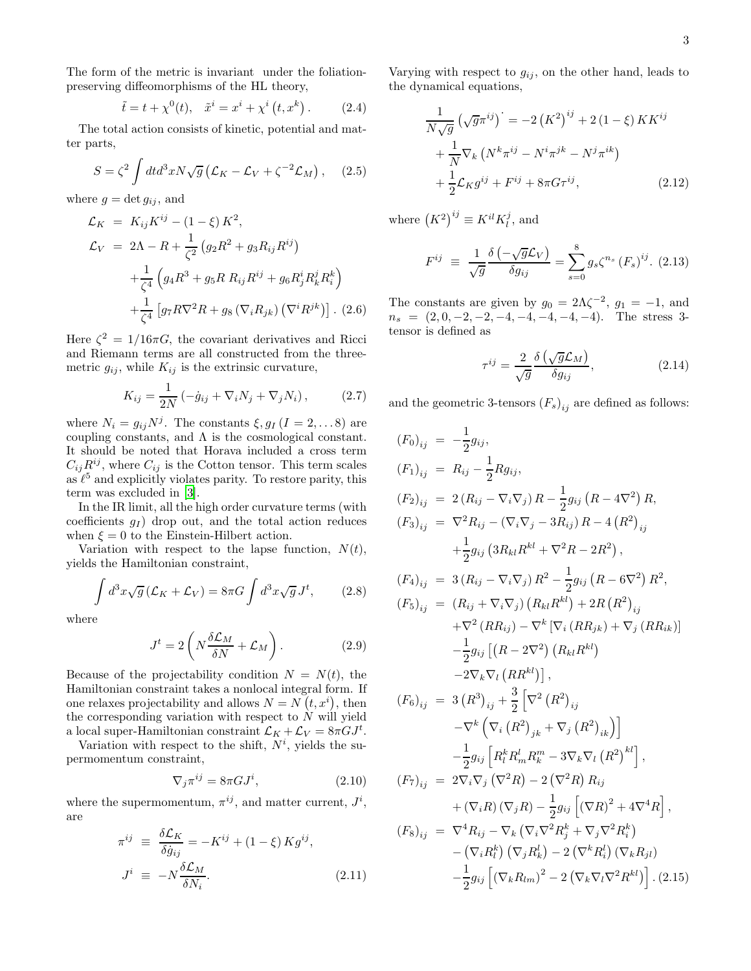The form of the metric is invariant under the foliationpreserving diffeomorphisms of the HL theory,

<span id="page-2-6"></span>
$$
\tilde{t} = t + \chi^0(t), \quad \tilde{x}^i = x^i + \chi^i(t, x^k)
$$
 (2.4)

The total action consists of kinetic, potential and matter parts,

<span id="page-2-7"></span>
$$
S = \zeta^2 \int dt d^3x N \sqrt{g} \left( \mathcal{L}_K - \mathcal{L}_V + \zeta^{-2} \mathcal{L}_M \right), \quad (2.5)
$$

where  $g = \det g_{ij}$ , and

<span id="page-2-4"></span>
$$
\mathcal{L}_K = K_{ij} K^{ij} - (1 - \xi) K^2,
$$
  
\n
$$
\mathcal{L}_V = 2\Lambda - R + \frac{1}{\zeta^2} (g_2 R^2 + g_3 R_{ij} R^{ij})
$$
  
\n
$$
+ \frac{1}{\zeta^4} (g_4 R^3 + g_5 R R_{ij} R^{ij} + g_6 R^i_j R^j_k R^k_i)
$$
  
\n
$$
+ \frac{1}{\zeta^4} [g_7 R \nabla^2 R + g_8 (\nabla_i R_{jk}) (\nabla^i R^{jk})].
$$
 (2.6)

Here  $\zeta^2 = 1/16\pi G$ , the covariant derivatives and Ricci and Riemann terms are all constructed from the threemetric  $g_{ij}$ , while  $K_{ij}$  is the extrinsic curvature,

$$
K_{ij} = \frac{1}{2N} \left( -\dot{g}_{ij} + \nabla_i N_j + \nabla_j N_i \right),
$$
 (2.7)

where  $N_i = g_{ij} N^j$ . The constants  $\xi, g_I$   $(I = 2, \dots 8)$  are coupling constants, and  $\Lambda$  is the cosmological constant. It should be noted that Horava included a cross term  $C_{ij}R^{ij}$ , where  $C_{ij}$  is the Cotton tensor. This term scales as  $\ell^5$  and explicitly violates parity. To restore parity, this term was excluded in [\[3\]](#page-17-2).

In the IR limit, all the high order curvature terms (with coefficients  $g_I$  drop out, and the total action reduces when  $\xi = 0$  to the Einstein-Hilbert action.

Variation with respect to the lapse function,  $N(t)$ , yields the Hamiltonian constraint,

<span id="page-2-0"></span>
$$
\int d^3x \sqrt{g} \left( \mathcal{L}_K + \mathcal{L}_V \right) = 8\pi G \int d^3x \sqrt{g} J^t, \qquad (2.8)
$$

where

$$
J^t = 2\left(N\frac{\delta \mathcal{L}_M}{\delta N} + \mathcal{L}_M\right). \tag{2.9}
$$

Because of the projectability condition  $N = N(t)$ , the Hamiltonian constraint takes a nonlocal integral form. If one relaxes projectability and allows  $N = N(t, x<sup>i</sup>)$ , then the corresponding variation with respect to  $\dot{N}$  will yield a local super-Hamiltonian constraint  $\mathcal{L}_K + \mathcal{L}_V = 8\pi G J^t$ .

Variation with respect to the shift,  $N^i$ , yields the supermomentum constraint,

<span id="page-2-1"></span>
$$
\nabla_j \pi^{ij} = 8\pi G J^i,\tag{2.10}
$$

where the supermomentum,  $\pi^{ij}$ , and matter current,  $J^i$ , are

$$
\pi^{ij} \equiv \frac{\delta \mathcal{L}_K}{\delta \dot{g}_{ij}} = -K^{ij} + (1 - \xi) K g^{ij},
$$
  

$$
J^i \equiv -N \frac{\delta \mathcal{L}_M}{\delta N_i}.
$$
 (2.11)

Varying with respect to  $g_{ij}$ , on the other hand, leads to the dynamical equations,

<span id="page-2-2"></span>
$$
\frac{1}{N\sqrt{g}}\left(\sqrt{g}\pi^{ij}\right)^{\cdot} = -2\left(K^{2}\right)^{ij} + 2\left(1-\xi\right)KK^{ij} + \frac{1}{N}\nabla_{k}\left(N^{k}\pi^{ij} - N^{i}\pi^{jk} - N^{j}\pi^{ik}\right) + \frac{1}{2}\mathcal{L}_{K}g^{ij} + F^{ij} + 8\pi G\tau^{ij},
$$
\n(2.12)

where  $(K^2)^{ij} \equiv K^{il} K^j_l$ , and

<span id="page-2-3"></span>
$$
F^{ij} \equiv \frac{1}{\sqrt{g}} \frac{\delta(-\sqrt{g} \mathcal{L}_V)}{\delta g_{ij}} = \sum_{s=0}^{8} g_s \zeta^{n_s} (F_s)^{ij}.
$$
 (2.13)

The constants are given by  $g_0 = 2\Lambda \zeta^{-2}$ ,  $g_1 = -1$ , and  $n_s = (2, 0, -2, -2, -4, -4, -4, -4, -4)$ . The stress 3tensor is defined as

$$
\tau^{ij} = \frac{2}{\sqrt{g}} \frac{\delta\left(\sqrt{g}\mathcal{L}_M\right)}{\delta g_{ij}},\tag{2.14}
$$

and the geometric 3-tensors  $(F_s)_{ij}$  are defined as follows:

<span id="page-2-5"></span>
$$
(F_0)_{ij} = -\frac{1}{2}g_{ij},
$$
  
\n
$$
(F_1)_{ij} = R_{ij} - \frac{1}{2}Rg_{ij},
$$
  
\n
$$
(F_2)_{ij} = 2(R_{ij} - \nabla_i \nabla_j) R - \frac{1}{2}g_{ij} (R - 4\nabla^2) R,
$$
  
\n
$$
(F_3)_{ij} = \nabla^2 R_{ij} - (\nabla_i \nabla_j - 3R_{ij}) R - 4 (R^2)_{ij}
$$
  
\n
$$
+ \frac{1}{2}g_{ij} (3R_{kl}R^{kl} + \nabla^2 R - 2R^2),
$$
  
\n
$$
(F_4)_{ij} = 3(R_{ij} - \nabla_i \nabla_j) R^2 - \frac{1}{2}g_{ij} (R - 6\nabla^2) R^2,
$$
  
\n
$$
(F_5)_{ij} = (R_{ij} + \nabla_i \nabla_j) (R_{kl}R^{kl}) + 2R (R^2)_{ij}
$$
  
\n
$$
+ \nabla^2 (R R_{ij}) - \nabla^k [\nabla_i (R R_{jk}) + \nabla_j (R R_{ik})]
$$
  
\n
$$
- \frac{1}{2}g_{ij} [(R - 2\nabla^2) (R_{kl}R^{kl})
$$
  
\n
$$
- 2\nabla_k \nabla_l (R R^{kl})],
$$
  
\n
$$
(F_6)_{ij} = 3 (R^3)_{ij} + \frac{3}{2} [\nabla^2 (R^2)_{ij}
$$
  
\n
$$
- \nabla^k (\nabla_i (R^2)_{jk} + \nabla_j (R^2)_{ik})]
$$
  
\n
$$
- \frac{1}{2}g_{ij} [R_l^k R_m^l R_m^m - 3\nabla_k \nabla_l (R^2)^{kl}],
$$
  
\n
$$
(F_7)_{ij} = 2\nabla_i \nabla_j (\nabla^2 R) - 2 (\nabla^2 R) R_{ij}
$$
  
\n
$$
+ (\nabla_i R) (\nabla_j R) - \frac{1}{2}g_{ij} [(\nabla R)^2 + 4\nabla^4 R],
$$
  
\n
$$
(F
$$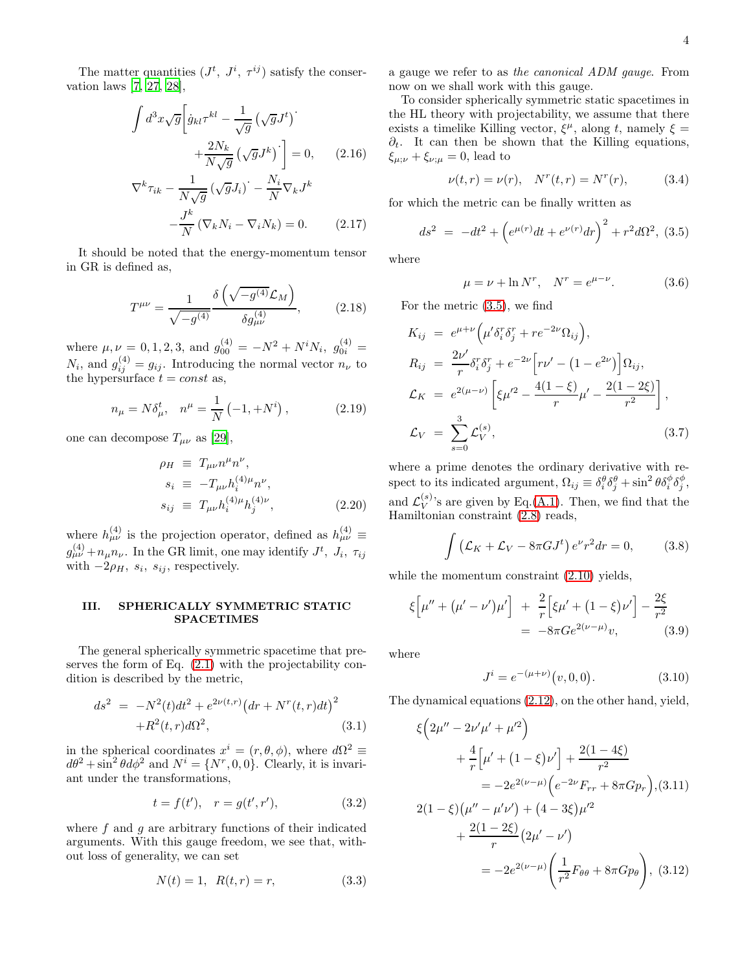The matter quantities  $(J^t, J^i, \tau^{ij})$  satisfy the conservation laws [\[7,](#page-17-6) [27,](#page-19-11) [28\]](#page-19-12),

<span id="page-3-1"></span>
$$
\int d^3x \sqrt{g} \left[ \dot{g}_{kl} \tau^{kl} - \frac{1}{\sqrt{g}} \left( \sqrt{g} J^t \right) \right] + \frac{2N_k}{N\sqrt{g}} \left( \sqrt{g} J^k \right) \Big] = 0, \qquad (2.16)
$$

$$
\nabla^{k} \tau_{ik} - \frac{1}{N\sqrt{g}} \left( \sqrt{g} J_{i} \right)^{\cdot} - \frac{N_{i}}{N} \nabla_{k} J^{k}
$$

$$
-\frac{J^{k}}{N} \left( \nabla_{k} N_{i} - \nabla_{i} N_{k} \right) = 0. \tag{2.17}
$$

It should be noted that the energy-momentum tensor in GR is defined as,

$$
T^{\mu\nu} = \frac{1}{\sqrt{-g^{(4)}}} \frac{\delta\left(\sqrt{-g^{(4)}} \mathcal{L}_M\right)}{\delta g_{\mu\nu}^{(4)}},\tag{2.18}
$$

where  $\mu, \nu = 0, 1, 2, 3$ , and  $g_{00}^{(4)} = -N^2 + N^i N_i$ ,  $g_{0i}^{(4)} =$  $N_i$ , and  $g_{ij}^{(4)} = g_{ij}$ . Introducing the normal vector  $n_{\nu}$  to the hypersurface  $t = const$  as,

$$
n_{\mu} = N \delta_{\mu}^{t}, \quad n^{\mu} = \frac{1}{N} \left( -1, +N^{i} \right), \tag{2.19}
$$

one can decompose  $T_{\mu\nu}$  as [\[29\]](#page-19-13),

<span id="page-3-5"></span>
$$
\rho_H \equiv T_{\mu\nu} n^{\mu} n^{\nu}, \ns_i \equiv -T_{\mu\nu} h_i^{(4)\mu} n^{\nu}, \ns_{ij} \equiv T_{\mu\nu} h_i^{(4)\mu} h_j^{(4)\nu},
$$
\n(2.20)

where  $h_{\mu\nu}^{(4)}$  is the projection operator, defined as  $h_{\mu\nu}^{(4)} \equiv$  $g_{\mu\nu}^{(4)} + n_{\mu}n_{\nu}$ . In the GR limit, one may identify  $J^t$ ,  $J_i$ ,  $\tau_{ij}$ with  $-2\rho_H$ ,  $s_i$ ,  $s_{ij}$ , respectively.

### III. SPHERICALLY SYMMETRIC STATIC SPACETIMES

The general spherically symmetric spacetime that preserves the form of Eq. [\(2.1\)](#page-1-0) with the projectability condition is described by the metric,

$$
ds^{2} = -N^{2}(t)dt^{2} + e^{2\nu(t,r)}(dr + N^{r}(t,r)dt)^{2}
$$

$$
+R^{2}(t,r)d\Omega^{2},
$$
(3.1)

in the spherical coordinates  $x^i = (r, \theta, \phi)$ , where  $d\Omega^2 =$  $d\theta^2 + \sin^2 \theta d\phi^2$  and  $N^i = \{N^r, 0, 0\}$ . Clearly, it is invariant under the transformations,

$$
t = f(t'), \quad r = g(t', r'), \tag{3.2}
$$

where  $f$  and  $g$  are arbitrary functions of their indicated arguments. With this gauge freedom, we see that, without loss of generality, we can set

$$
N(t) = 1, \ R(t, r) = r,
$$
\n(3.3)

a gauge we refer to as the canonical ADM gauge. From now on we shall work with this gauge.

To consider spherically symmetric static spacetimes in the HL theory with projectability, we assume that there exists a timelike Killing vector,  $\xi^{\mu}$ , along t, namely  $\xi =$  $\partial_t$ . It can then be shown that the Killing equations,  $\xi_{\mu;\nu} + \xi_{\nu;\mu} = 0$ , lead to

$$
\nu(t, r) = \nu(r), \quad N^{r}(t, r) = N^{r}(r), \quad (3.4)
$$

for which the metric can be finally written as

<span id="page-3-0"></span>
$$
ds^{2} = -dt^{2} + \left(e^{\mu(r)}dt + e^{\nu(r)}dr\right)^{2} + r^{2}d\Omega^{2}, (3.5)
$$

where

$$
\mu = \nu + \ln N^r, \quad N^r = e^{\mu - \nu}.
$$
 (3.6)

For the metric [\(3.5\)](#page-3-0), we find

<span id="page-3-6"></span>
$$
K_{ij} = e^{\mu+\nu} \Big( \mu' \delta_i^r \delta_j^r + r e^{-2\nu} \Omega_{ij} \Big),
$$
  
\n
$$
R_{ij} = \frac{2\nu'}{r} \delta_i^r \delta_j^r + e^{-2\nu} \Big[ r \nu' - (1 - e^{2\nu}) \Big] \Omega_{ij},
$$
  
\n
$$
\mathcal{L}_K = e^{2(\mu-\nu)} \Big[ \xi \mu'^2 - \frac{4(1-\xi)}{r} \mu' - \frac{2(1-2\xi)}{r^2} \Big],
$$
  
\n
$$
\mathcal{L}_V = \sum_{s=0}^3 \mathcal{L}_V^{(s)},
$$
\n(3.7)

where a prime denotes the ordinary derivative with respect to its indicated argument,  $\Omega_{ij} \equiv \delta_i^{\theta} \delta_j^{\theta} + \sin^2 \theta \delta_i^{\phi} \delta_j^{\phi}$ , and  $\mathcal{L}_V^{(s)}$  $V<sup>(s)</sup>$ 's are given by Eq.[\(A.1\)](#page-17-12). Then, we find that the Hamiltonian constraint [\(2.8\)](#page-2-0) reads,

<span id="page-3-4"></span>
$$
\int \left( \mathcal{L}_K + \mathcal{L}_V - 8\pi G J^t \right) e^{\nu} r^2 dr = 0, \qquad (3.8)
$$

while the momentum constraint  $(2.10)$  yields,

<span id="page-3-2"></span>
$$
\xi \left[ \mu'' + (\mu' - \nu')\mu' \right] + \frac{2}{r} \left[ \xi \mu' + (1 - \xi)\nu' \right] - \frac{2\xi}{r^2}
$$
  
= -8\pi Ge<sup>2(\nu - \mu)</sup>v, (3.9)

where

$$
J^{i} = e^{-(\mu + \nu)}(v, 0, 0).
$$
 (3.10)

The dynamical equations [\(2.12\)](#page-2-2), on the other hand, yield,

<span id="page-3-3"></span>
$$
\xi \left( 2\mu'' - 2\nu'\mu' + \mu'^2 \right)
$$
  
+  $\frac{4}{r} \left[ \mu' + (1 - \xi)\nu' \right] + \frac{2(1 - 4\xi)}{r^2}$   
=  $-2e^{2(\nu - \mu)} \left( e^{-2\nu} F_{rr} + 8\pi G p_r \right), (3.11)$   

$$
2(1 - \xi) \left( \mu'' - \mu'\nu' \right) + (4 - 3\xi)\mu'^2
$$
  
+  $\frac{2(1 - 2\xi)}{r} (2\mu' - \nu')$   
=  $-2e^{2(\nu - \mu)} \left( \frac{1}{r^2} F_{\theta\theta} + 8\pi G p_\theta \right), (3.12)$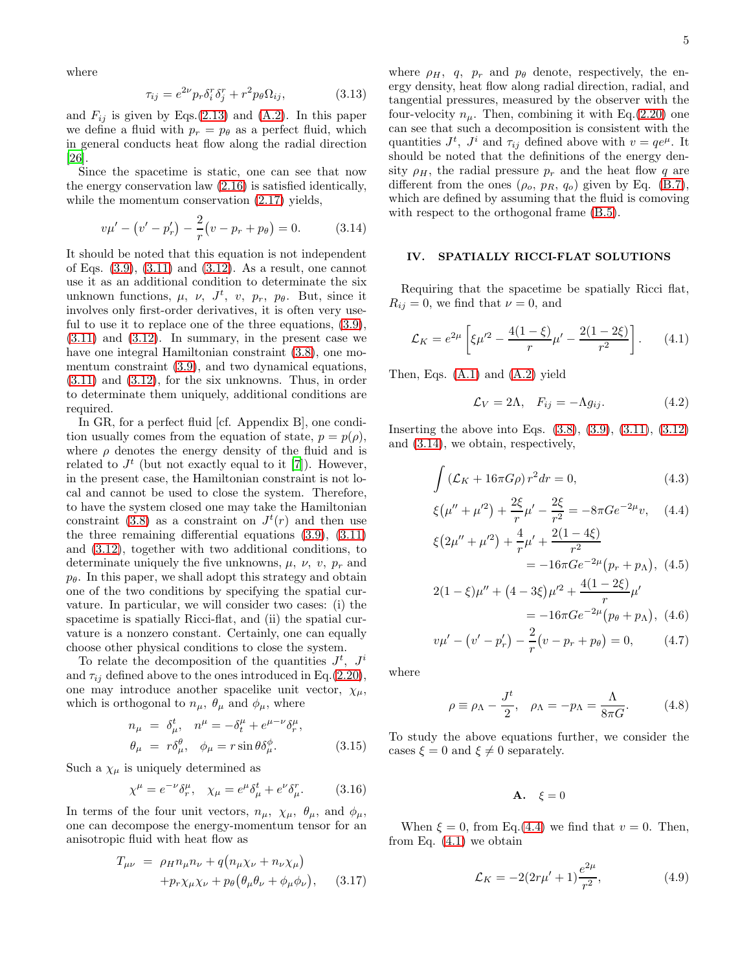$$
\tau_{ij} = e^{2\nu} p_r \delta_i^r \delta_j^r + r^2 p_\theta \Omega_{ij}, \qquad (3.13)
$$

and  $F_{ij}$  is given by Eqs.[\(2.13\)](#page-2-3) and [\(A.2\)](#page-17-13). In this paper we define a fluid with  $p_r = p_\theta$  as a perfect fluid, which in general conducts heat flow along the radial direction [\[26\]](#page-19-10).

Since the spacetime is static, one can see that now the energy conservation law [\(2.16\)](#page-3-1) is satisfied identically, while the momentum conservation [\(2.17\)](#page-3-1) yields,

<span id="page-4-0"></span>
$$
v\mu' - (v' - p'_r) - \frac{2}{r}(v - p_r + p_\theta) = 0.
$$
 (3.14)

It should be noted that this equation is not independent of Eqs. [\(3.9\)](#page-3-2), [\(3.11\)](#page-3-3) and [\(3.12\)](#page-3-3). As a result, one cannot use it as an additional condition to determinate the six unknown functions,  $\mu$ ,  $\nu$ ,  $J^t$ ,  $v$ ,  $p_r$ ,  $p_\theta$ . But, since it involves only first-order derivatives, it is often very useful to use it to replace one of the three equations,  $(3.9)$ ,  $(3.11)$  and  $(3.12)$ . In summary, in the present case we have one integral Hamiltonian constraint [\(3.8\)](#page-3-4), one momentum constraint [\(3.9\)](#page-3-2), and two dynamical equations, [\(3.11\)](#page-3-3) and [\(3.12\)](#page-3-3), for the six unknowns. Thus, in order to determinate them uniquely, additional conditions are required.

In GR, for a perfect fluid [cf. Appendix B], one condition usually comes from the equation of state,  $p = p(\rho)$ , where  $\rho$  denotes the energy density of the fluid and is related to  $J<sup>t</sup>$  (but not exactly equal to it [\[7](#page-17-6)]). However, in the present case, the Hamiltonian constraint is not local and cannot be used to close the system. Therefore, to have the system closed one may take the Hamiltonian constraint [\(3.8\)](#page-3-4) as a constraint on  $J^t(r)$  and then use the three remaining differential equations [\(3.9\)](#page-3-2), [\(3.11\)](#page-3-3) and [\(3.12\)](#page-3-3), together with two additional conditions, to determinate uniquely the five unknowns,  $\mu$ ,  $\nu$ ,  $v$ ,  $p_r$  and  $p_{\theta}$ . In this paper, we shall adopt this strategy and obtain one of the two conditions by specifying the spatial curvature. In particular, we will consider two cases: (i) the spacetime is spatially Ricci-flat, and (ii) the spatial curvature is a nonzero constant. Certainly, one can equally choose other physical conditions to close the system.

To relate the decomposition of the quantities  $J^t$ ,  $J^i$ and  $\tau_{ij}$  defined above to the ones introduced in Eq.[\(2.20\)](#page-3-5), one may introduce another spacelike unit vector,  $\chi_{\mu}$ , which is orthogonal to  $n_{\mu}$ ,  $\theta_{\mu}$  and  $\phi_{\mu}$ , where

$$
n_{\mu} = \delta_{\mu}^{t}, \quad n^{\mu} = -\delta_{t}^{\mu} + e^{\mu - \nu} \delta_{r}^{\mu},
$$
  

$$
\theta_{\mu} = r \delta_{\mu}^{\theta}, \quad \phi_{\mu} = r \sin \theta \delta_{\mu}^{\phi}.
$$
 (3.15)

Such a  $\chi_{\mu}$  is uniquely determined as

$$
\chi^{\mu} = e^{-\nu} \delta^{\mu}_{r}, \quad \chi_{\mu} = e^{\mu} \delta^t_{\mu} + e^{\nu} \delta^r_{\mu}.
$$
 (3.16)

In terms of the four unit vectors,  $n_{\mu}$ ,  $\chi_{\mu}$ ,  $\theta_{\mu}$ , and  $\phi_{\mu}$ , one can decompose the energy-momentum tensor for an anisotropic fluid with heat flow as

<span id="page-4-4"></span>
$$
T_{\mu\nu} = \rho_H n_{\mu} n_{\nu} + q (n_{\mu} \chi_{\nu} + n_{\nu} \chi_{\mu})
$$
  
+ $p_r \chi_{\mu} \chi_{\nu} + p_{\theta} (\theta_{\mu} \theta_{\nu} + \phi_{\mu} \phi_{\nu}),$  (3.17)

where  $\rho_H$ , q,  $p_r$  and  $p_\theta$  denote, respectively, the energy density, heat flow along radial direction, radial, and tangential pressures, measured by the observer with the four-velocity  $n_{\mu}$ . Then, combining it with Eq.[\(2.20\)](#page-3-5) one can see that such a decomposition is consistent with the quantities  $J^t$ ,  $J^i$  and  $\tau_{ij}$  defined above with  $v = q e^{\mu}$ . It should be noted that the definitions of the energy density  $\rho_H$ , the radial pressure  $p_r$  and the heat flow q are different from the ones  $(\rho_o, p_R, q_o)$  given by Eq. [\(B.7\)](#page-17-14), which are defined by assuming that the fluid is comoving with respect to the orthogonal frame  $(B.5)$ .

### IV. SPATIALLY RICCI-FLAT SOLUTIONS

Requiring that the spacetime be spatially Ricci flat,  $R_{ij} = 0$ , we find that  $\nu = 0$ , and

<span id="page-4-2"></span>
$$
\mathcal{L}_K = e^{2\mu} \left[ \xi \mu'^2 - \frac{4(1-\xi)}{r} \mu' - \frac{2(1-2\xi)}{r^2} \right]. \tag{4.1}
$$

Then, Eqs. [\(A.1\)](#page-17-12) and [\(A.2\)](#page-17-13) yield

$$
\mathcal{L}_V = 2\Lambda, \quad F_{ij} = -\Lambda g_{ij}.\tag{4.2}
$$

Inserting the above into Eqs. [\(3.8\)](#page-3-4), [\(3.9\)](#page-3-2), [\(3.11\)](#page-3-3), [\(3.12\)](#page-3-3) and [\(3.14\)](#page-4-0), we obtain, respectively,

<span id="page-4-1"></span>
$$
\int \left(\mathcal{L}_K + 16\pi G\rho\right) r^2 dr = 0,\tag{4.3}
$$

$$
\xi(\mu'' + \mu'^2) + \frac{2\xi}{r}\mu' - \frac{2\xi}{r^2} = -8\pi G e^{-2\mu}v,\quad(4.4)
$$

$$
\xi(2\mu'' + \mu'^2) + \frac{4}{r}\mu' + \frac{2(1-4\xi)}{r^2}
$$
  
= -16\pi Ge^{-2\mu}(p\_r + p\_\Lambda), (4.5)

$$
2(1 - \xi)\mu'' + (4 - 3\xi)\mu'^2 + \frac{4(1 - 2\xi)}{r}\mu'
$$
  
=  $-16\pi Ge^{-2\mu}(p_\theta + p_\Lambda), (4.6)$ 

$$
v\mu' - (v' - p'_r) - \frac{2}{r}(v - p_r + p_\theta) = 0, \qquad (4.7)
$$

where

$$
\rho \equiv \rho_{\Lambda} - \frac{J^t}{2}, \quad \rho_{\Lambda} = -p_{\Lambda} = \frac{\Lambda}{8\pi G}.
$$
 (4.8)

To study the above equations further, we consider the cases  $\xi = 0$  and  $\xi \neq 0$  separately.

A.  $\xi = 0$ 

When  $\xi = 0$ , from Eq.[\(4.4\)](#page-4-1) we find that  $v = 0$ . Then, from Eq.  $(4.1)$  we obtain

<span id="page-4-3"></span>
$$
\mathcal{L}_K = -2(2r\mu' + 1)\frac{e^{2\mu}}{r^2},\tag{4.9}
$$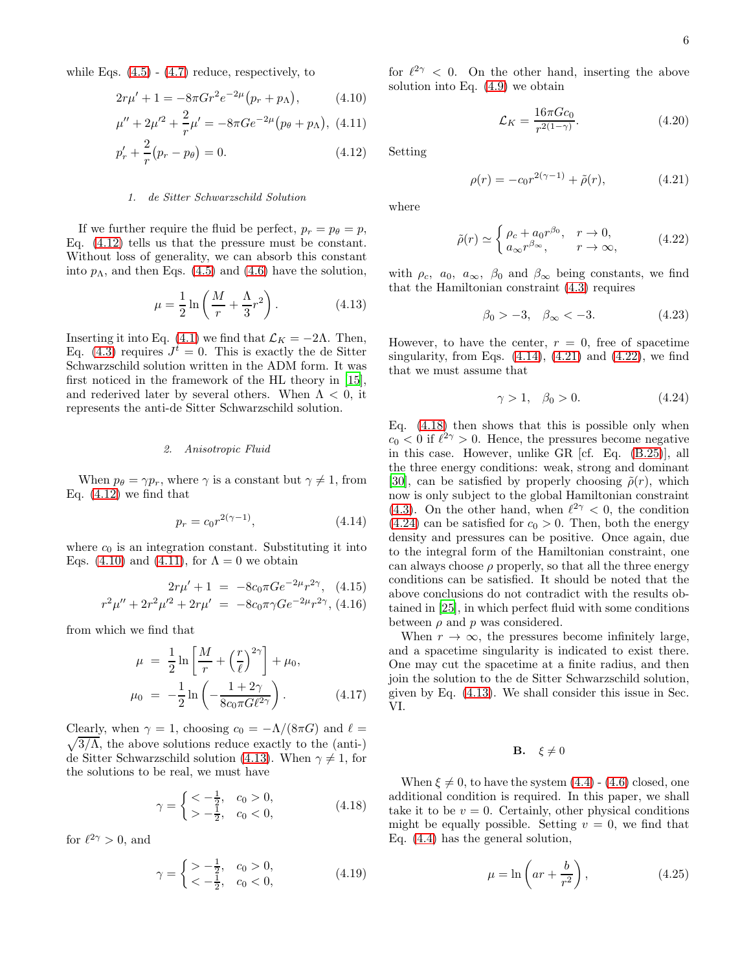while Eqs.  $(4.5)$  -  $(4.7)$  reduce, respectively, to

<span id="page-5-0"></span>
$$
2r\mu' + 1 = -8\pi G r^2 e^{-2\mu} (p_r + p_\Lambda), \qquad (4.10)
$$

$$
\mu'' + 2\mu'^2 + \frac{2}{r}\mu' = -8\pi G e^{-2\mu} (p_\theta + p_\Lambda), \ (4.11)
$$

$$
p'_r + \frac{2}{r}(p_r - p_\theta) = 0.
$$
 (4.12)

#### 1. de Sitter Schwarzschild Solution

If we further require the fluid be perfect,  $p_r = p_\theta = p$ , Eq. [\(4.12\)](#page-5-0) tells us that the pressure must be constant. Without loss of generality, we can absorb this constant into  $p_{\Lambda}$ , and then Eqs. [\(4.5\)](#page-4-1) and [\(4.6\)](#page-4-1) have the solution,

<span id="page-5-1"></span>
$$
\mu = \frac{1}{2} \ln \left( \frac{M}{r} + \frac{\Lambda}{3} r^2 \right). \tag{4.13}
$$

Inserting it into Eq. [\(4.1\)](#page-4-2) we find that  $\mathcal{L}_K = -2\Lambda$ . Then, Eq. [\(4.3\)](#page-4-1) requires  $J^t = 0$ . This is exactly the de Sitter Schwarzschild solution written in the ADM form. It was first noticed in the framework of the HL theory in [\[15\]](#page-18-2), and rederived later by several others. When  $\Lambda < 0$ , it represents the anti-de Sitter Schwarzschild solution.

#### 2. Anisotropic Fluid

When  $p_{\theta} = \gamma p_r$ , where  $\gamma$  is a constant but  $\gamma \neq 1$ , from Eq.  $(4.12)$  we find that

<span id="page-5-2"></span>
$$
p_r = c_0 r^{2(\gamma - 1)}, \tag{4.14}
$$

where  $c_0$  is an integration constant. Substituting it into Eqs. [\(4.10\)](#page-5-0) and [\(4.11\)](#page-5-0), for  $\Lambda = 0$  we obtain

$$
2r\mu' + 1 = -8c_0\pi G e^{-2\mu}r^{2\gamma}, \quad (4.15)
$$

$$
r^2\mu'' + 2r^2\mu'^2 + 2r\mu' = -8c_0\pi\gamma Ge^{-2\mu}r^{2\gamma},
$$
 (4.16)

from which we find that

<span id="page-5-8"></span>
$$
\mu = \frac{1}{2} \ln \left[ \frac{M}{r} + \left(\frac{r}{\ell}\right)^{2\gamma} \right] + \mu_0,
$$
  

$$
\mu_0 = -\frac{1}{2} \ln \left( -\frac{1+2\gamma}{8c_0 \pi G \ell^{2\gamma}} \right).
$$
(4.17)

Clearly, when  $\gamma = 1$ , choosing  $c_0 = -\Lambda/(8\pi G)$  and  $\ell =$  $\sqrt{3/\Lambda}$ , the above solutions reduce exactly to the (anti-) de Sitter Schwarzschild solution [\(4.13\)](#page-5-1). When  $\gamma \neq 1$ , for the solutions to be real, we must have

<span id="page-5-5"></span>
$$
\gamma = \begin{cases} < -\frac{1}{2}, & c_0 > 0, \\ > -\frac{1}{2}, & c_0 < 0, \end{cases}
$$
 (4.18)

for  $\ell^{2\gamma} > 0$ , and

$$
\gamma = \begin{cases} > -\frac{1}{2}, & c_0 > 0, \\ < -\frac{1}{2}, & c_0 < 0, \end{cases}
$$
 (4.19)

for  $\ell^{2\gamma} < 0$ . On the other hand, inserting the above solution into Eq.  $(4.9)$  we obtain

$$
\mathcal{L}_K = \frac{16\pi G c_0}{r^{2(1-\gamma)}}.\tag{4.20}
$$

Setting

<span id="page-5-3"></span>
$$
\rho(r) = -c_0 r^{2(\gamma - 1)} + \tilde{\rho}(r), \tag{4.21}
$$

where

<span id="page-5-4"></span>
$$
\tilde{\rho}(r) \simeq \begin{cases} \rho_c + a_0 r^{\beta_0}, & r \to 0, \\ a_{\infty} r^{\beta_{\infty}}, & r \to \infty, \end{cases} (4.22)
$$

with  $\rho_c$ ,  $a_0$ ,  $a_{\infty}$ ,  $\beta_0$  and  $\beta_{\infty}$  being constants, we find that the Hamiltonian constraint [\(4.3\)](#page-4-1) requires

$$
\beta_0 > -3, \quad \beta_{\infty} < -3. \tag{4.23}
$$

However, to have the center,  $r = 0$ , free of spacetime singularity, from Eqs.  $(4.14)$ ,  $(4.21)$  and  $(4.22)$ , we find that we must assume that

<span id="page-5-6"></span>
$$
\gamma > 1, \quad \beta_0 > 0. \tag{4.24}
$$

Eq. [\(4.18\)](#page-5-5) then shows that this is possible only when  $c_0 < 0$  if  $\ell^{2\gamma} > 0$ . Hence, the pressures become negative in this case. However, unlike GR [cf. Eq. [\(B.25\)](#page-16-0)], all the three energy conditions: weak, strong and dominant [\[30\]](#page-19-14), can be satisfied by properly choosing  $\tilde{\rho}(r)$ , which now is only subject to the global Hamiltonian constraint [\(4.3\)](#page-4-1). On the other hand, when  $\ell^{2\gamma} < 0$ , the condition  $(4.24)$  can be satisfied for  $c_0 > 0$ . Then, both the energy density and pressures can be positive. Once again, due to the integral form of the Hamiltonian constraint, one can always choose  $\rho$  properly, so that all the three energy conditions can be satisfied. It should be noted that the above conclusions do not contradict with the results obtained in [\[25](#page-19-9)], in which perfect fluid with some conditions between  $\rho$  and  $p$  was considered.

When  $r \to \infty$ , the pressures become infinitely large, and a spacetime singularity is indicated to exist there. One may cut the spacetime at a finite radius, and then join the solution to the de Sitter Schwarzschild solution, given by Eq. [\(4.13\)](#page-5-1). We shall consider this issue in Sec. VI.

### **B.**  $\xi \neq 0$

When  $\xi \neq 0$ , to have the system  $(4.4)$  -  $(4.6)$  closed, one additional condition is required. In this paper, we shall take it to be  $v = 0$ . Certainly, other physical conditions might be equally possible. Setting  $v = 0$ , we find that Eq. [\(4.4\)](#page-4-1) has the general solution,

<span id="page-5-7"></span>
$$
\mu = \ln\left(ar + \frac{b}{r^2}\right),\tag{4.25}
$$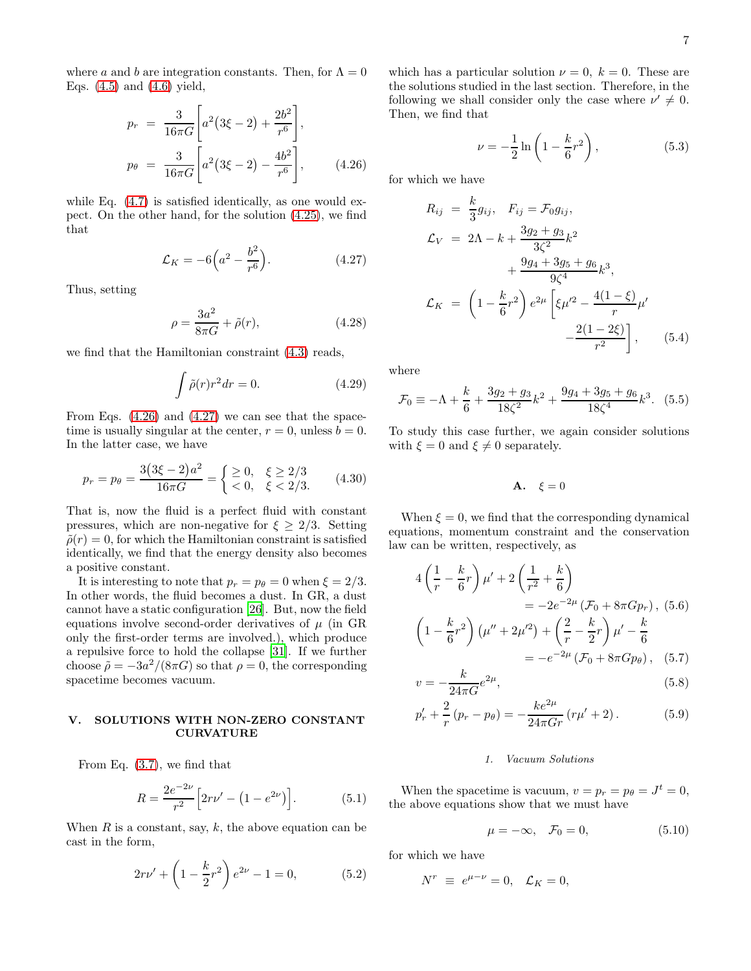where a and b are integration constants. Then, for  $\Lambda = 0$ Eqs.  $(4.5)$  and  $(4.6)$  yield,

<span id="page-6-0"></span>
$$
p_r = \frac{3}{16\pi G} \left[ a^2 (3\xi - 2) + \frac{2b^2}{r^6} \right],
$$
  
\n
$$
p_\theta = \frac{3}{16\pi G} \left[ a^2 (3\xi - 2) - \frac{4b^2}{r^6} \right],
$$
 (4.26)

while Eq.  $(4.7)$  is satisfied identically, as one would expect. On the other hand, for the solution [\(4.25\)](#page-5-7), we find that

<span id="page-6-1"></span>
$$
\mathcal{L}_K = -6\left(a^2 - \frac{b^2}{r^6}\right). \tag{4.27}
$$

Thus, setting

<span id="page-6-4"></span>
$$
\rho = \frac{3a^2}{8\pi G} + \tilde{\rho}(r),\tag{4.28}
$$

we find that the Hamiltonian constraint [\(4.3\)](#page-4-1) reads,

$$
\int \tilde{\rho}(r)r^2 dr = 0. \tag{4.29}
$$

From Eqs.  $(4.26)$  and  $(4.27)$  we can see that the spacetime is usually singular at the center,  $r = 0$ , unless  $b = 0$ . In the latter case, we have

$$
p_r = p_\theta = \frac{3(3\xi - 2)a^2}{16\pi G} = \begin{cases} \ge 0, & \xi \ge 2/3\\ < 0, & \xi < 2/3. \end{cases}
$$
 (4.30)

That is, now the fluid is a perfect fluid with constant pressures, which are non-negative for  $\xi \geq 2/3$ . Setting  $\tilde{\rho}(r) = 0$ , for which the Hamiltonian constraint is satisfied identically, we find that the energy density also becomes a positive constant.

It is interesting to note that  $p_r = p_\theta = 0$  when  $\xi = 2/3$ . In other words, the fluid becomes a dust. In GR, a dust cannot have a static configuration [\[26](#page-19-10)]. But, now the field equations involve second-order derivatives of  $\mu$  (in GR only the first-order terms are involved.), which produce a repulsive force to hold the collapse [\[31](#page-19-15)]. If we further choose  $\tilde{\rho} = -3a^2/(8\pi G)$  so that  $\rho = 0$ , the corresponding spacetime becomes vacuum.

### V. SOLUTIONS WITH NON-ZERO CONSTANT CURVATURE

From Eq. [\(3.7\)](#page-3-6), we find that

$$
R = \frac{2e^{-2\nu}}{r^2} \left[ 2r\nu' - \left( 1 - e^{2\nu} \right) \right]. \tag{5.1}
$$

When  $R$  is a constant, say,  $k$ , the above equation can be cast in the form,

$$
2r\nu' + \left(1 - \frac{k}{2}r^2\right)e^{2\nu} - 1 = 0,\tag{5.2}
$$

which has a particular solution  $\nu = 0, k = 0$ . These are the solutions studied in the last section. Therefore, in the following we shall consider only the case where  $\nu' \neq 0$ . Then, we find that

$$
\nu = -\frac{1}{2}\ln\left(1 - \frac{k}{6}r^2\right),\tag{5.3}
$$

for which we have

<span id="page-6-3"></span>
$$
R_{ij} = \frac{k}{3}g_{ij}, \quad F_{ij} = \mathcal{F}_0 g_{ij},
$$
  
\n
$$
\mathcal{L}_V = 2\Lambda - k + \frac{3g_2 + g_3}{3\zeta^2} k^2 + \frac{9g_4 + 3g_5 + g_6}{9\zeta^4} k^3,
$$
  
\n
$$
\mathcal{L}_K = \left(1 - \frac{k}{6}r^2\right)e^{2\mu}\left[\xi\mu'^2 - \frac{4(1-\xi)}{r}\mu' - \frac{2(1-2\xi)}{r^2}\right], \quad (5.4)
$$

where

$$
\mathcal{F}_0 \equiv -\Lambda + \frac{k}{6} + \frac{3g_2 + g_3}{18\zeta^2}k^2 + \frac{9g_4 + 3g_5 + g_6}{18\zeta^4}k^3. \tag{5.5}
$$

To study this case further, we again consider solutions with  $\xi = 0$  and  $\xi \neq 0$  separately.

A.  $\xi = 0$ 

When  $\xi = 0$ , we find that the corresponding dynamical equations, momentum constraint and the conservation law can be written, respectively, as

<span id="page-6-2"></span>
$$
4\left(\frac{1}{r} - \frac{k}{6}r\right)\mu' + 2\left(\frac{1}{r^2} + \frac{k}{6}\right)
$$
  
=  $-2e^{-2\mu}(\mathcal{F}_0 + 8\pi G p_r)$ , (5.6)  

$$
\left(1 - \frac{k}{6}r^2\right)(\mu'' + 2\mu'^2) + \left(\frac{2}{r} - \frac{k}{2}r\right)\mu' - \frac{k}{6}
$$
  
=  $-e^{-2\mu}(\mathcal{F}_0 + 8\pi G p_\theta)$ , (5.7)

$$
v = -\frac{k}{24\pi G}e^{2\mu},\tag{5.8}
$$

$$
p'_{r} + \frac{2}{r} (p_{r} - p_{\theta}) = -\frac{ke^{2\mu}}{24\pi Gr} (r\mu' + 2).
$$
 (5.9)

#### 1. Vacuum Solutions

When the spacetime is vacuum,  $v = p_r = p_\theta = J^t = 0$ , the above equations show that we must have

<span id="page-6-5"></span>
$$
\mu = -\infty, \quad \mathcal{F}_0 = 0,\tag{5.10}
$$

for which we have

$$
N^r \equiv e^{\mu - \nu} = 0, \quad \mathcal{L}_K = 0,
$$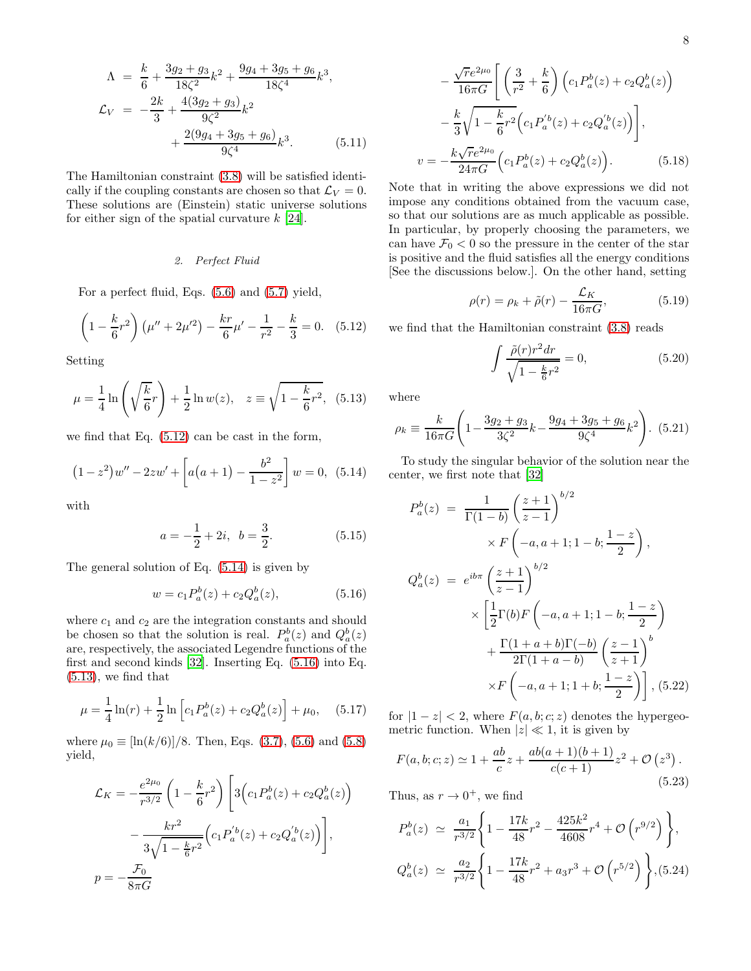$$
\Lambda = \frac{k}{6} + \frac{3g_2 + g_3}{18\zeta^2} k^2 + \frac{9g_4 + 3g_5 + g_6}{18\zeta^4} k^3,
$$
  
\n
$$
\mathcal{L}_V = -\frac{2k}{3} + \frac{4(3g_2 + g_3)}{9\zeta^2} k^2 + \frac{2(9g_4 + 3g_5 + g_6)}{9\zeta^4} k^3.
$$
 (5.11)

The Hamiltonian constraint [\(3.8\)](#page-3-4) will be satisfied identically if the coupling constants are chosen so that  $\mathcal{L}_V = 0$ . These solutions are (Einstein) static universe solutions for either sign of the spatial curvature  $k$  [\[24\]](#page-19-8).

# 2. Perfect Fluid

For a perfect fluid, Eqs. [\(5.6\)](#page-6-2) and [\(5.7\)](#page-6-2) yield,

<span id="page-7-0"></span>
$$
\left(1 - \frac{k}{6}r^2\right)\left(\mu'' + 2\mu'^2\right) - \frac{kr}{6}\mu' - \frac{1}{r^2} - \frac{k}{3} = 0. \quad (5.12)
$$

Setting

<span id="page-7-3"></span>
$$
\mu = \frac{1}{4} \ln \left( \sqrt{\frac{k}{6}} r \right) + \frac{1}{2} \ln w(z), \quad z \equiv \sqrt{1 - \frac{k}{6} r^2}, \tag{5.13}
$$

we find that Eq. [\(5.12\)](#page-7-0) can be cast in the form,

<span id="page-7-1"></span>
$$
(1 - z2)w'' - 2zw' + \left[a(a + 1) - \frac{b2}{1 - z2}\right]w = 0, (5.14)
$$

with

$$
a = -\frac{1}{2} + 2i, \ b = \frac{3}{2}.
$$
 (5.15)

The general solution of Eq. [\(5.14\)](#page-7-1) is given by

<span id="page-7-2"></span>
$$
w = c_1 P_a^b(z) + c_2 Q_a^b(z), \tag{5.16}
$$

where  $c_1$  and  $c_2$  are the integration constants and should be chosen so that the solution is real.  $P_a^b(z)$  and  $Q_a^b(z)$ are, respectively, the associated Legendre functions of the first and second kinds [\[32\]](#page-19-16). Inserting Eq. [\(5.16\)](#page-7-2) into Eq.  $(5.13)$ , we find that

<span id="page-7-7"></span>
$$
\mu = \frac{1}{4}\ln(r) + \frac{1}{2}\ln\left[c_1 P_a^b(z) + c_2 Q_a^b(z)\right] + \mu_0, \quad (5.17)
$$

where  $\mu_0 \equiv [\ln(k/6)]/8$ . Then, Eqs. [\(3.7\)](#page-3-6), [\(5.6\)](#page-6-2) and [\(5.8\)](#page-6-2) yield,

<span id="page-7-4"></span>
$$
\mathcal{L}_K = -\frac{e^{2\mu_0}}{r^{3/2}} \left(1 - \frac{k}{6}r^2\right) \left[3\left(c_1 P_a^b(z) + c_2 Q_a^b(z)\right) - \frac{kr^2}{3\sqrt{1 - \frac{k}{6}r^2}} \left(c_1 P_a^{'b}(z) + c_2 Q_a^{'b}(z)\right)\right],
$$
  

$$
p = -\frac{\mathcal{F}_0}{8\pi G}
$$

$$
-\frac{\sqrt{r}e^{2\mu_0}}{16\pi G} \left[ \left( \frac{3}{r^2} + \frac{k}{6} \right) \left( c_1 P_a^b(z) + c_2 Q_a^b(z) \right) -\frac{k}{3} \sqrt{1 - \frac{k}{6} r^2} \left( c_1 P_a^{'b}(z) + c_2 Q_a^{'b}(z) \right) \right],
$$
  

$$
v = -\frac{k\sqrt{r}e^{2\mu_0}}{24\pi G} \left( c_1 P_a^b(z) + c_2 Q_a^b(z) \right).
$$
 (5.18)

Note that in writing the above expressions we did not impose any conditions obtained from the vacuum case, so that our solutions are as much applicable as possible. In particular, by properly choosing the parameters, we can have  $\mathcal{F}_0 < 0$  so the pressure in the center of the star is positive and the fluid satisfies all the energy conditions [See the discussions below.]. On the other hand, setting

<span id="page-7-5"></span>
$$
\rho(r) = \rho_k + \tilde{\rho}(r) - \frac{\mathcal{L}_K}{16\pi G},\tag{5.19}
$$

we find that the Hamiltonian constraint [\(3.8\)](#page-3-4) reads

$$
\int \frac{\tilde{\rho}(r)r^2 dr}{\sqrt{1 - \frac{k}{6}r^2}} = 0,
$$
\n(5.20)

where

$$
\rho_k \equiv \frac{k}{16\pi G} \left( 1 - \frac{3g_2 + g_3}{3\zeta^2} k - \frac{9g_4 + 3g_5 + g_6}{9\zeta^4} k^2 \right). \tag{5.21}
$$

To study the singular behavior of the solution near the center, we first note that [\[32](#page-19-16)]

$$
P_a^b(z) = \frac{1}{\Gamma(1-b)} \left(\frac{z+1}{z-1}\right)^{b/2}
$$
  
 
$$
\times F\left(-a, a+1; 1-b; \frac{1-z}{2}\right),
$$
  
\n
$$
Q_a^b(z) = e^{ib\pi} \left(\frac{z+1}{z-1}\right)^{b/2}
$$
  
\n
$$
\times \left[\frac{1}{2}\Gamma(b)F\left(-a, a+1; 1-b; \frac{1-z}{2}\right) + \frac{\Gamma(1+a+b)\Gamma(-b)}{2\Gamma(1+a-b)} \left(\frac{z-1}{z+1}\right)^b + \frac{\Gamma(-a, a+1; 1+b; \frac{1-z}{2})}{2\Gamma(1+a-b)}\right],
$$
 (5.22)

for  $|1-z| < 2$ , where  $F(a, b; c; z)$  denotes the hypergeometric function. When  $|z| \ll 1$ , it is given by

$$
F(a, b; c; z) \simeq 1 + \frac{ab}{c}z + \frac{ab(a+1)(b+1)}{c(c+1)}z^{2} + \mathcal{O}(z^{3}).
$$
\n(5.23)

Thus, as  $r \to 0^+$ , we find

<span id="page-7-6"></span>
$$
P_a^b(z) \simeq \frac{a_1}{r^{3/2}} \left\{ 1 - \frac{17k}{48} r^2 - \frac{425k^2}{4608} r^4 + \mathcal{O}\left(r^{9/2}\right) \right\},
$$
  

$$
Q_a^b(z) \simeq \frac{a_2}{r^{3/2}} \left\{ 1 - \frac{17k}{48} r^2 + a_3 r^3 + \mathcal{O}\left(r^{5/2}\right) \right\}, (5.24)
$$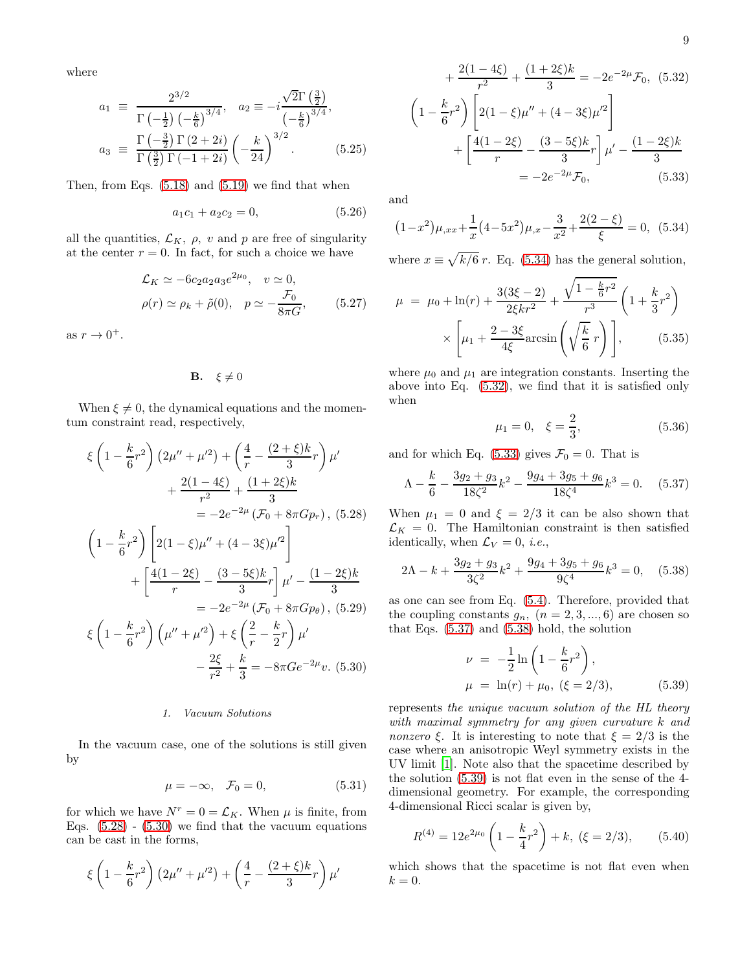$$
a_1 \equiv \frac{2^{3/2}}{\Gamma\left(-\frac{1}{2}\right)\left(-\frac{k}{6}\right)^{3/4}}, \quad a_2 \equiv -i\frac{\sqrt{2}\Gamma\left(\frac{3}{2}\right)}{\left(-\frac{k}{6}\right)^{3/4}},
$$

$$
a_3 \equiv \frac{\Gamma\left(-\frac{3}{2}\right)\Gamma\left(2+2i\right)}{\Gamma\left(\frac{3}{2}\right)\Gamma\left(-1+2i\right)} \left(-\frac{k}{24}\right)^{3/2}.
$$
(5.25)

Then, from Eqs. [\(5.18\)](#page-7-4) and [\(5.19\)](#page-7-5) we find that when

$$
a_1c_1 + a_2c_2 = 0,\t\t(5.26)
$$

all the quantities,  $\mathcal{L}_K$ ,  $\rho$ ,  $v$  and  $p$  are free of singularity at the center  $r = 0$ . In fact, for such a choice we have

$$
\mathcal{L}_K \simeq -6c_2 a_2 a_3 e^{2\mu_0}, \quad v \simeq 0,
$$
  

$$
\rho(r) \simeq \rho_k + \tilde{\rho}(0), \quad p \simeq -\frac{\mathcal{F}_0}{8\pi G}, \quad (5.27)
$$

as  $r \to 0^+$ .

# **B.**  $\xi \neq 0$

When  $\xi \neq 0$ , the dynamical equations and the momentum constraint read, respectively,

<span id="page-8-0"></span>
$$
\xi \left(1 - \frac{k}{6}r^2\right) \left(2\mu'' + \mu'^2\right) + \left(\frac{4}{r} - \frac{(2+\xi)k}{3}r\right)\mu'
$$
  
+ 
$$
\frac{2(1-4\xi)}{r^2} + \frac{(1+2\xi)k}{3}
$$
  
= 
$$
-2e^{-2\mu} \left(\mathcal{F}_0 + 8\pi G p_r\right), (5.28)
$$
  

$$
\left(1 - \frac{k}{6}r^2\right) \left[2(1-\xi)\mu'' + (4-3\xi)\mu'^2\right]
$$
  
+ 
$$
\left[\frac{4(1-2\xi)}{r} - \frac{(3-5\xi)k}{3}r\right]\mu' - \frac{(1-2\xi)k}{3}
$$
  
= 
$$
-2e^{-2\mu} \left(\mathcal{F}_0 + 8\pi G p_\theta\right), (5.29)
$$
  

$$
\xi \left(1 - \frac{k}{6}r^2\right) \left(\mu'' + \mu'^2\right) + \xi \left(\frac{2}{r} - \frac{k}{2}r\right)\mu'
$$
  
- 
$$
\frac{2\xi}{r^2} + \frac{k}{3} = -8\pi Ge^{-2\mu}v. (5.30)
$$

#### 1. Vacuum Solutions

In the vacuum case, one of the solutions is still given by

<span id="page-8-6"></span>
$$
\mu = -\infty, \quad \mathcal{F}_0 = 0,\tag{5.31}
$$

for which we have  $N^r = 0 = \mathcal{L}_K$ . When  $\mu$  is finite, from Eqs.  $(5.28) - (5.30)$  $(5.28) - (5.30)$  we find that the vacuum equations can be cast in the forms,

<span id="page-8-2"></span>
$$
\xi \left( 1 - \frac{k}{6} r^2 \right) \left( 2 \mu'' + \mu'^2 \right) + \left( \frac{4}{r} - \frac{(2+\xi)k}{3} r \right) \mu'
$$

$$
+\frac{2(1-4\xi)}{r^2} + \frac{(1+2\xi)k}{3} = -2e^{-2\mu}\mathcal{F}_0, (5.32)
$$

$$
\left(1 - \frac{k}{6}r^2\right)\left[2(1-\xi)\mu'' + (4-3\xi)\mu'^2\right]
$$

$$
+\left[\frac{4(1-2\xi)}{r} - \frac{(3-5\xi)k}{3}r\right]\mu' - \frac{(1-2\xi)k}{3}
$$

$$
= -2e^{-2\mu}\mathcal{F}_0, (5.33)
$$

and

<span id="page-8-1"></span>
$$
(1-x^2)\mu_{,xx} + \frac{1}{x}(4-5x^2)\mu_{,x} - \frac{3}{x^2} + \frac{2(2-\xi)}{\xi} = 0, (5.34)
$$

where  $x \equiv \sqrt{k/6} r$ . Eq. [\(5.34\)](#page-8-1) has the general solution,

$$
\mu = \mu_0 + \ln(r) + \frac{3(3\xi - 2)}{2\xi kr^2} + \frac{\sqrt{1 - \frac{k}{6}r^2}}{r^3} \left(1 + \frac{k}{3}r^2\right) \times \left[\mu_1 + \frac{2 - 3\xi}{4\xi} \arcsin\left(\sqrt{\frac{k}{6}}r\right)\right],
$$
 (5.35)

where  $\mu_0$  and  $\mu_1$  are integration constants. Inserting the above into Eq. [\(5.32\)](#page-8-2), we find that it is satisfied only when

$$
\mu_1 = 0, \quad \xi = \frac{2}{3}, \tag{5.36}
$$

and for which Eq. [\(5.33\)](#page-8-2) gives  $\mathcal{F}_0 = 0$ . That is

<span id="page-8-3"></span>
$$
\Lambda - \frac{k}{6} - \frac{3g_2 + g_3}{18\zeta^2} k^2 - \frac{9g_4 + 3g_5 + g_6}{18\zeta^4} k^3 = 0. \tag{5.37}
$$

When  $\mu_1 = 0$  and  $\xi = 2/3$  it can be also shown that  $\mathcal{L}_K = 0$ . The Hamiltonian constraint is then satisfied identically, when  $\mathcal{L}_V = 0$ , *i.e.*,

<span id="page-8-4"></span>
$$
2\Lambda - k + \frac{3g_2 + g_3}{3\zeta^2}k^2 + \frac{9g_4 + 3g_5 + g_6}{9\zeta^4}k^3 = 0, \quad (5.38)
$$

as one can see from Eq. [\(5.4\)](#page-6-3). Therefore, provided that the coupling constants  $g_n$ ,  $(n = 2, 3, ..., 6)$  are chosen so that Eqs. [\(5.37\)](#page-8-3) and [\(5.38\)](#page-8-4) hold, the solution

<span id="page-8-5"></span>
$$
\nu = -\frac{1}{2}\ln\left(1 - \frac{k}{6}r^2\right),
$$
  
\n
$$
\mu = \ln(r) + \mu_0, \ (\xi = 2/3), \tag{5.39}
$$

represents the unique vacuum solution of the HL theory with maximal symmetry for any given curvature k and nonzero  $\xi$ . It is interesting to note that  $\xi = 2/3$  is the case where an anisotropic Weyl symmetry exists in the UV limit [\[1](#page-17-0)]. Note also that the spacetime described by the solution [\(5.39\)](#page-8-5) is not flat even in the sense of the 4 dimensional geometry. For example, the corresponding 4-dimensional Ricci scalar is given by,

$$
R^{(4)} = 12e^{2\mu_0} \left( 1 - \frac{k}{4}r^2 \right) + k, \ (\xi = 2/3), \tag{5.40}
$$

which shows that the spacetime is not flat even when  $k=0.$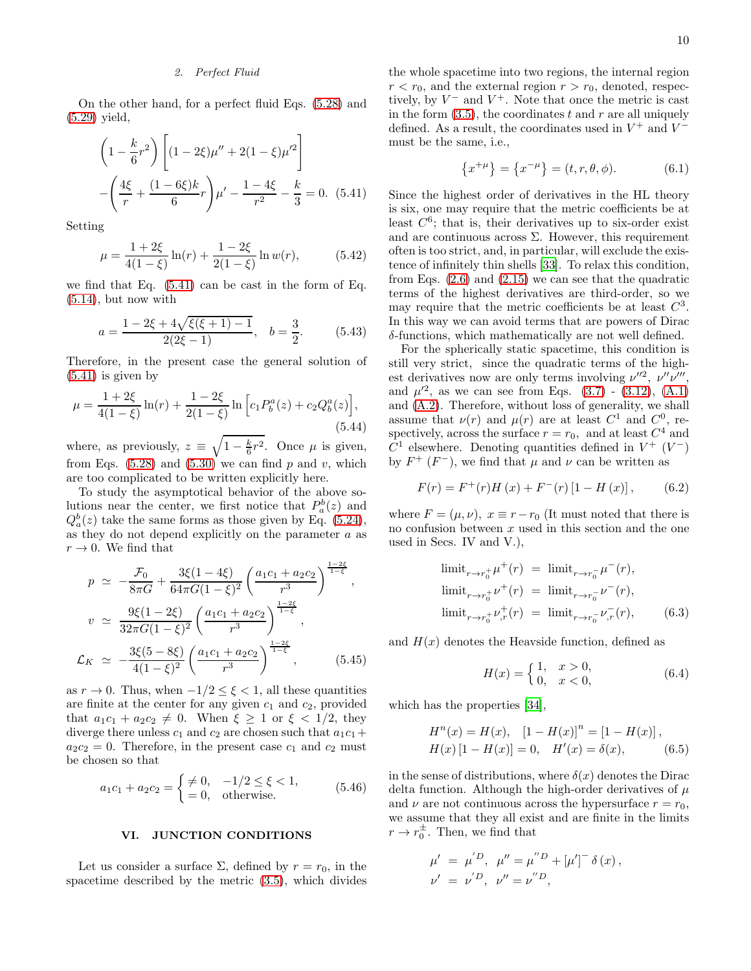### 2. Perfect Fluid

On the other hand, for a perfect fluid Eqs. [\(5.28\)](#page-8-0) and [\(5.29\)](#page-8-0) yield,

<span id="page-9-0"></span>
$$
\left(1 - \frac{k}{6}r^2\right) \left[ (1 - 2\xi)\mu'' + 2(1 - \xi)\mu'^2 \right]
$$

$$
-\left(\frac{4\xi}{r} + \frac{(1 - 6\xi)k}{6}r\right)\mu' - \frac{1 - 4\xi}{r^2} - \frac{k}{3} = 0. \tag{5.41}
$$

Setting

$$
\mu = \frac{1+2\xi}{4(1-\xi)}\ln(r) + \frac{1-2\xi}{2(1-\xi)}\ln w(r),\tag{5.42}
$$

we find that Eq. [\(5.41\)](#page-9-0) can be cast in the form of Eq.  $(5.14)$ , but now with

$$
a = \frac{1 - 2\xi + 4\sqrt{\xi(\xi + 1) - 1}}{2(2\xi - 1)}, \quad b = \frac{3}{2}.
$$
 (5.43)

Therefore, in the present case the general solution of  $(5.41)$  is given by

<span id="page-9-1"></span>
$$
\mu = \frac{1 + 2\xi}{4(1 - \xi)} \ln(r) + \frac{1 - 2\xi}{2(1 - \xi)} \ln\left[c_1 P_b^a(z) + c_2 Q_b^a(z)\right],\tag{5.44}
$$

where, as previously,  $z \equiv \sqrt{1 - \frac{k}{6}r^2}$ . Once  $\mu$  is given, from Eqs.  $(5.28)$  and  $(5.30)$  we can find p and v, which are too complicated to be written explicitly here.

To study the asymptotical behavior of the above solutions near the center, we first notice that  $P_a^b(z)$  and  $Q_a^b(z)$  take the same forms as those given by Eq. [\(5.24\)](#page-7-6), as they do not depend explicitly on the parameter a as  $r \rightarrow 0$ . We find that

$$
p \simeq -\frac{\mathcal{F}_0}{8\pi G} + \frac{3\xi(1-4\xi)}{64\pi G(1-\xi)^2} \left(\frac{a_1c_1 + a_2c_2}{r^3}\right)^{\frac{1-2\xi}{1-\xi}},
$$
  

$$
v \simeq \frac{9\xi(1-2\xi)}{32\pi G(1-\xi)^2} \left(\frac{a_1c_1 + a_2c_2}{r^3}\right)^{\frac{1-2\xi}{1-\xi}},
$$
  

$$
\mathcal{L}_K \simeq -\frac{3\xi(5-8\xi)}{4(1-\xi)^2} \left(\frac{a_1c_1 + a_2c_2}{r^3}\right)^{\frac{1-2\xi}{1-\xi}},
$$
(5.45)

as  $r \to 0$ . Thus, when  $-1/2 \leq \xi < 1$ , all these quantities are finite at the center for any given  $c_1$  and  $c_2$ , provided that  $a_1c_1 + a_2c_2 \neq 0$ . When  $\xi \geq 1$  or  $\xi < 1/2$ , they diverge there unless  $c_1$  and  $c_2$  are chosen such that  $a_1c_1+$  $a_2c_2 = 0$ . Therefore, in the present case  $c_1$  and  $c_2$  must be chosen so that

<span id="page-9-3"></span>
$$
a_1c_1 + a_2c_2 = \begin{cases} \neq 0, & -1/2 \le \xi < 1, \\ = 0, & \text{otherwise.} \end{cases}
$$
 (5.46)

### VI. JUNCTION CONDITIONS

Let us consider a surface  $\Sigma$ , defined by  $r = r_0$ , in the spacetime described by the metric [\(3.5\)](#page-3-0), which divides

the whole spacetime into two regions, the internal region  $r < r_0$ , and the external region  $r > r_0$ , denoted, respectively, by  $V^-$  and  $V^+$ . Note that once the metric is cast in the form  $(3.5)$ , the coordinates t and r are all uniquely defined. As a result, the coordinates used in  $V^+$  and  $V^$ must be the same, i.e.,

$$
\{x^{+\mu}\} = \{x^{-\mu}\} = (t, r, \theta, \phi). \tag{6.1}
$$

Since the highest order of derivatives in the HL theory is six, one may require that the metric coefficients be at least  $C^6$ ; that is, their derivatives up to six-order exist and are continuous across  $\Sigma$ . However, this requirement often is too strict, and, in particular, will exclude the existence of infinitely thin shells [\[33\]](#page-19-17). To relax this condition, from Eqs.  $(2.6)$  and  $(2.15)$  we can see that the quadratic terms of the highest derivatives are third-order, so we may require that the metric coefficients be at least  $C^3$ . In this way we can avoid terms that are powers of Dirac δ-functions, which mathematically are not well defined.

For the spherically static spacetime, this condition is still very strict, since the quadratic terms of the highest derivatives now are only terms involving  $\nu^{\prime\prime 2}$ ,  $\nu^{\prime\prime}\nu^{\prime\prime\prime}$ , and  $\mu'^2$ , as we can see from Eqs. [\(3.7\)](#page-3-6) - [\(3.12\)](#page-3-3), [\(A.1\)](#page-17-12) and [\(A.2\)](#page-17-13). Therefore, without loss of generality, we shall assume that  $\nu(r)$  and  $\mu(r)$  are at least  $C^1$  and  $C^0$ , respectively, across the surface  $r = r_0$ , and at least  $C^4$  and  $C<sup>1</sup>$  elsewhere. Denoting quantities defined in  $V<sup>+</sup>$  ( $V<sup>-</sup>$ ) by  $F^+(F^-)$ , we find that  $\mu$  and  $\nu$  can be written as

$$
F(r) = F^{+}(r)H(x) + F^{-}(r)[1 - H(x)], \qquad (6.2)
$$

where  $F = (\mu, \nu)$ ,  $x \equiv r - r_0$  (It must noted that there is no confusion between  $x$  used in this section and the one used in Secs. IV and V.),

$$
\begin{aligned}\n\lim_{r \to r_0^+} \mu^+(r) &= \lim_{r \to r_0^-} \mu^-(r), \\
\lim_{r \to r_0^+} \nu^+(r) &= \lim_{r \to r_0^-} \nu^-(r), \\
\lim_{r \to r_0^+} \nu^+_r(r) &= \lim_{r \to r_0^-} \nu^-_r(r),\n\end{aligned} \tag{6.3}
$$

and  $H(x)$  denotes the Heavside function, defined as

$$
H(x) = \begin{cases} 1, & x > 0, \\ 0, & x < 0, \end{cases}
$$
 (6.4)

which has the properties [\[34](#page-19-18)],

$$
H^{n}(x) = H(x), \quad [1 - H(x)]^{n} = [1 - H(x)],
$$
  
 
$$
H(x) [1 - H(x)] = 0, \quad H'(x) = \delta(x), \quad (6.5)
$$

in the sense of distributions, where  $\delta(x)$  denotes the Dirac delta function. Although the high-order derivatives of  $\mu$ and  $\nu$  are not continuous across the hypersurface  $r = r_0$ , we assume that they all exist and are finite in the limits  $r \to r_0^{\pm}$ . Then, we find that

<span id="page-9-2"></span>
$$
\mu' = \mu^{D}, \ \mu'' = \mu^{D} + [\mu']^{-} \delta(x),
$$
  

$$
\nu' = \nu^{D}, \ \nu'' = \nu^{D},
$$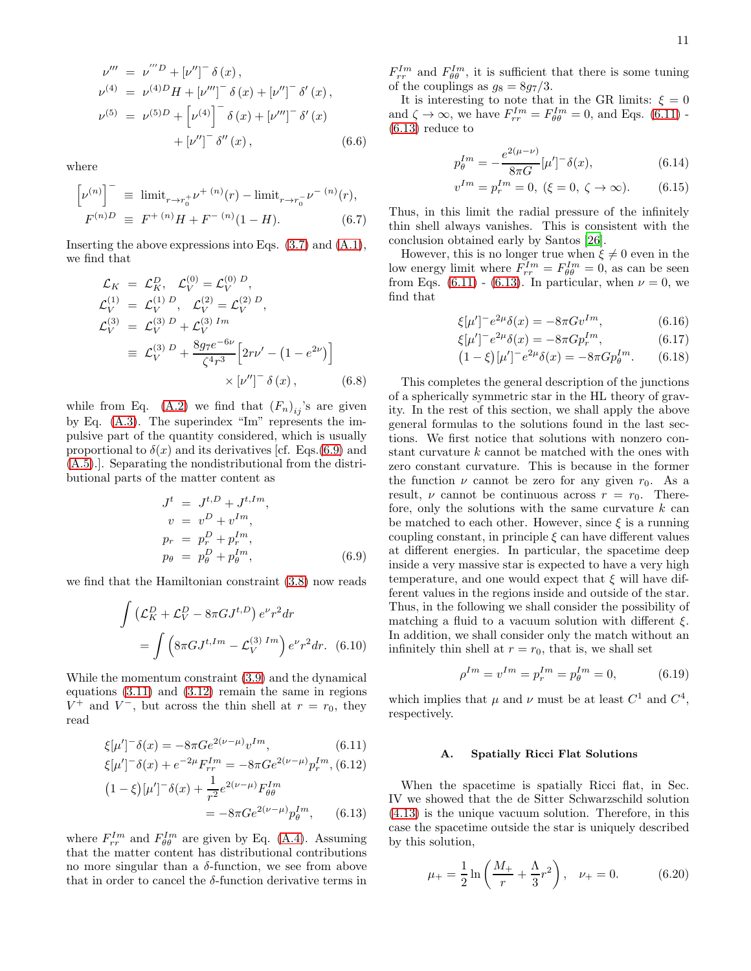$$
\nu''' = \nu'''^{D} + [\nu'']^{-} \delta(x),
$$
  
\n
$$
\nu^{(4)} = \nu^{(4)D} H + [\nu''']^{-} \delta(x) + [\nu'']^{-} \delta'(x),
$$
  
\n
$$
\nu^{(5)} = \nu^{(5)D} + [\nu^{(4)}]^{-} \delta(x) + [\nu''']^{-} \delta'(x)
$$
  
\n
$$
+ [\nu'']^{-} \delta''(x), \qquad (6.6)
$$

$$
\left[\nu^{(n)}\right]^{-} \equiv \lim_{r \to r_0^+} \nu^{+(n)}(r) - \lim_{r \to r_0^-} \nu^{-(n)}(r),
$$
  

$$
F^{(n)D} \equiv F^{+(n)}H + F^{-(n)}(1-H). \tag{6.7}
$$

Inserting the above expressions into Eqs. [\(3.7\)](#page-3-6) and [\(A.1\)](#page-17-12), we find that

$$
\mathcal{L}_{K} = \mathcal{L}_{K}^{D}, \quad \mathcal{L}_{V}^{(0)} = \mathcal{L}_{V}^{(0) D}, \n\mathcal{L}_{V}^{(1)} = \mathcal{L}_{V}^{(1) D}, \quad \mathcal{L}_{V}^{(2)} = \mathcal{L}_{V}^{(2) D}, \n\mathcal{L}_{V}^{(3)} = \mathcal{L}_{V}^{(3) D} + \mathcal{L}_{V}^{(3) Im} \n\equiv \mathcal{L}_{V}^{(3) D} + \frac{8g_{7}e^{-6\nu}}{\zeta^{4}r^{3}} \Big[2r\nu' - (1 - e^{2\nu})\Big] \n\times \left[\nu''\right]^{-} \delta(x), \quad (6.8)
$$

while from Eq. [\(A.2\)](#page-17-13) we find that  $(F_n)_{ij}$ 's are given by Eq. [\(A.3\)](#page-17-16). The superindex "Im" represents the impulsive part of the quantity considered, which is usually proportional to  $\delta(x)$  and its derivatives [cf. Eqs.[\(6.9\)](#page-10-0) and [\(A.5\)](#page-17-15).]. Separating the nondistributional from the distributional parts of the matter content as

<span id="page-10-0"></span>
$$
Jt = Jt, D + Jt, Im,\nv = vD + vIm,\npr = prD + prIm,\npθ = pθD + pθIm,\n(6.9)
$$

we find that the Hamiltonian constraint [\(3.8\)](#page-3-4) now reads

$$
\int \left( \mathcal{L}_K^D + \mathcal{L}_V^D - 8\pi G J^{t,D} \right) e^{\nu} r^2 dr
$$

$$
= \int \left( 8\pi G J^{t,Im} - \mathcal{L}_V^{(3) Im} \right) e^{\nu} r^2 dr. \tag{6.10}
$$

While the momentum constraint [\(3.9\)](#page-3-2) and the dynamical equations  $(3.11)$  and  $(3.12)$  remain the same in regions  $V^+$  and  $V^-$ , but across the thin shell at  $r = r_0$ , they read

<span id="page-10-1"></span>
$$
\xi[\mu']^{-\delta}(x) = -8\pi G e^{2(\nu-\mu)} v^{Im}, \qquad (6.11)
$$

$$
\xi[\mu']^{-\delta}(x) + e^{-2\mu} F_{rr}^{Im} = -8\pi G e^{2(\nu-\mu)} p_r^{Im}, (6.12)
$$

$$
(1 - \xi)\left[\mu'\right]^{-} \delta(x) + \frac{1}{r^2} e^{2(\nu - \mu)} F_{\theta\theta}^{Im}
$$
  
= -8\pi Ge^{2(\nu - \mu)} p\_{\theta}^{Im}, \t(6.13)

where  $F_{rr}^{Im}$  and  $F_{\theta\theta}^{Im}$  are given by Eq. [\(A.4\)](#page-17-17). Assuming that the matter content has distributional contributions no more singular than a δ-function, we see from above that in order to cancel the  $\delta$ -function derivative terms in

 $F_{rr}^{Im}$  and  $F_{\theta\theta}^{Im}$ , it is sufficient that there is some tuning of the couplings as  $g_8 = 8g_7/3$ .

It is interesting to note that in the GR limits:  $\xi = 0$ and  $\zeta \to \infty$ , we have  $F_{rr}^{Im} = F_{\theta\theta}^{Im} = 0$ , and Eqs. [\(6.11\)](#page-10-1) -[\(6.13\)](#page-10-1) reduce to

$$
p_{\theta}^{Im} = -\frac{e^{2(\mu - \nu)}}{8\pi G} [\mu']^{-} \delta(x), \tag{6.14}
$$

$$
v^{Im} = p_r^{Im} = 0, \ (\xi = 0, \ \zeta \to \infty). \tag{6.15}
$$

Thus, in this limit the radial pressure of the infinitely thin shell always vanishes. This is consistent with the conclusion obtained early by Santos [\[26](#page-19-10)].

However, this is no longer true when  $\xi \neq 0$  even in the low energy limit where  $F_{rr}^{Im} = F_{\theta\theta}^{Im} = 0$ , as can be seen from Eqs.  $(6.11)$  -  $(6.13)$ . In particular, when  $\nu = 0$ , we find that

$$
\xi[\mu']^{-}e^{2\mu}\delta(x) = -8\pi Gv^{Im},\qquad(6.16)
$$

$$
\xi[\mu']^{-}e^{2\mu}\delta(x) = -8\pi G p_r^{Im},\qquad(6.17)
$$

$$
(1 - \xi)\left[\mu'\right]^{-} e^{2\mu} \delta(x) = -8\pi G p_{\theta}^{Im}.
$$
 (6.18)

This completes the general description of the junctions of a spherically symmetric star in the HL theory of gravity. In the rest of this section, we shall apply the above general formulas to the solutions found in the last sections. We first notice that solutions with nonzero constant curvature k cannot be matched with the ones with zero constant curvature. This is because in the former the function  $\nu$  cannot be zero for any given  $r_0$ . As a result,  $\nu$  cannot be continuous across  $r = r_0$ . Therefore, only the solutions with the same curvature  $k$  can be matched to each other. However, since  $\xi$  is a running coupling constant, in principle  $\xi$  can have different values at different energies. In particular, the spacetime deep inside a very massive star is expected to have a very high temperature, and one would expect that  $\xi$  will have different values in the regions inside and outside of the star. Thus, in the following we shall consider the possibility of matching a fluid to a vacuum solution with different  $\xi$ . In addition, we shall consider only the match without an infinitely thin shell at  $r = r_0$ , that is, we shall set

<span id="page-10-3"></span>
$$
\rho^{Im} = v^{Im} = p_r^{Im} = p_\theta^{Im} = 0,
$$
 (6.19)

which implies that  $\mu$  and  $\nu$  must be at least  $C^1$  and  $C^4$ , respectively.

### A. Spatially Ricci Flat Solutions

When the spacetime is spatially Ricci flat, in Sec. IV we showed that the de Sitter Schwarzschild solution [\(4.13\)](#page-5-1) is the unique vacuum solution. Therefore, in this case the spacetime outside the star is uniquely described by this solution,

<span id="page-10-2"></span>
$$
\mu_{+} = \frac{1}{2} \ln \left( \frac{M_{+}}{r} + \frac{\Lambda}{3} r^{2} \right), \quad \nu_{+} = 0. \tag{6.20}
$$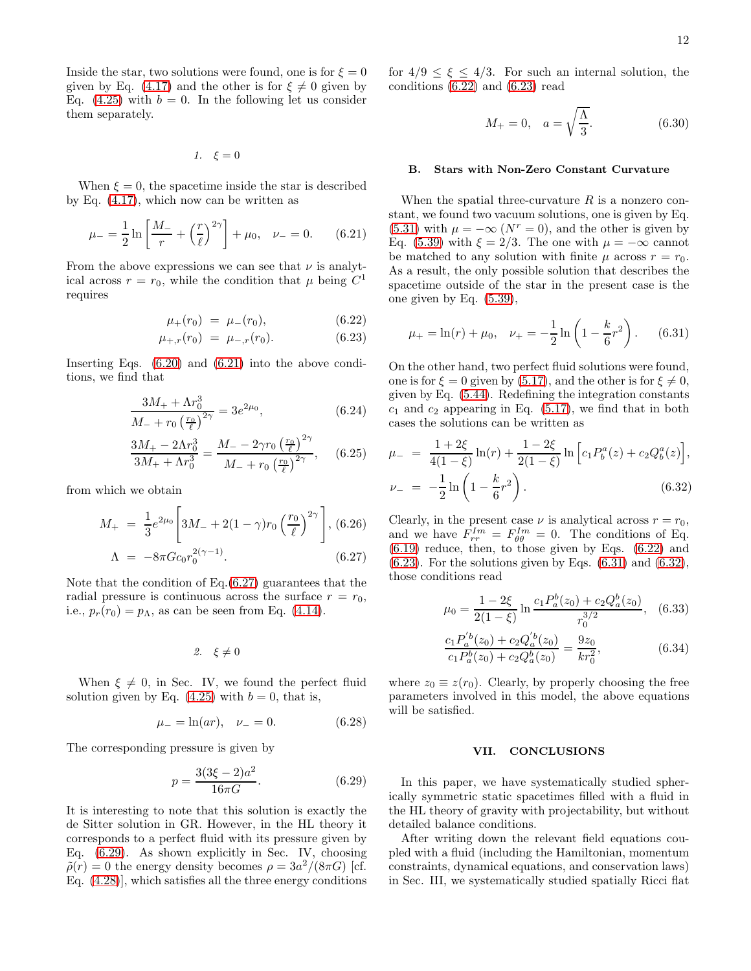Inside the star, two solutions were found, one is for  $\xi = 0$ given by Eq. [\(4.17\)](#page-5-8) and the other is for  $\xi \neq 0$  given by Eq. [\(4.25\)](#page-5-7) with  $b = 0$ . In the following let us consider them separately.

1.  $\xi = 0$ 

When  $\xi = 0$ , the spacetime inside the star is described by Eq. [\(4.17\)](#page-5-8), which now can be written as

<span id="page-11-0"></span>
$$
\mu_{-} = \frac{1}{2} \ln \left[ \frac{M_{-}}{r} + \left( \frac{r}{\ell} \right)^{2\gamma} \right] + \mu_{0}, \quad \nu_{-} = 0. \tag{6.21}
$$

From the above expressions we can see that  $\nu$  is analytical across  $r = r_0$ , while the condition that  $\mu$  being  $C^1$ requires

<span id="page-11-3"></span>
$$
\mu_+(r_0) = \mu_-(r_0), \tag{6.22}
$$

$$
\mu_{+,r}(r_0) = \mu_{-,r}(r_0). \tag{6.23}
$$

Inserting Eqs. [\(6.20\)](#page-10-2) and [\(6.21\)](#page-11-0) into the above conditions, we find that

$$
\frac{3M_{+} + \Lambda r_0^3}{M_{-} + r_0 \left(\frac{r_0}{\ell}\right)^{2\gamma}} = 3e^{2\mu_0},\tag{6.24}
$$

$$
\frac{3M_{+} - 2\Lambda r_0^3}{3M_{+} + \Lambda r_0^3} = \frac{M_{-} - 2\gamma r_0 \left(\frac{r_0}{\ell}\right)^{2\gamma}}{M_{-} + r_0 \left(\frac{r_0}{\ell}\right)^{2\gamma}}, \quad (6.25)
$$

from which we obtain

<span id="page-11-1"></span>
$$
M_{+} = \frac{1}{3} e^{2\mu_{0}} \left[ 3M_{-} + 2(1 - \gamma)r_{0} \left( \frac{r_{0}}{\ell} \right)^{2\gamma} \right], (6.26)
$$

$$
\Lambda = -8\pi G c_{0} r_{0}^{2(\gamma - 1)}.
$$
(6.27)

Note that the condition of Eq. $(6.27)$  guarantees that the radial pressure is continuous across the surface  $r = r_0$ , i.e.,  $p_r(r_0) = p_\Lambda$ , as can be seen from Eq. [\(4.14\)](#page-5-2).

2.  $\xi \neq 0$ 

When  $\xi \neq 0$ , in Sec. IV, we found the perfect fluid solution given by Eq.  $(4.25)$  with  $b = 0$ , that is,

$$
\mu_- = \ln(ar), \quad \nu_- = 0. \tag{6.28}
$$

The corresponding pressure is given by

<span id="page-11-2"></span>
$$
p = \frac{3(3\xi - 2)a^2}{16\pi G}.
$$
 (6.29)

It is interesting to note that this solution is exactly the de Sitter solution in GR. However, in the HL theory it corresponds to a perfect fluid with its pressure given by Eq. [\(6.29\)](#page-11-2). As shown explicitly in Sec. IV, choosing  $\tilde{\rho}(r) = 0$  the energy density becomes  $\rho = 3a^2/(8\pi G)$  [cf. Eq. [\(4.28\)](#page-6-4)], which satisfies all the three energy conditions

for  $4/9 \leq \xi \leq 4/3$ . For such an internal solution, the conditions [\(6.22\)](#page-11-3) and [\(6.23\)](#page-11-3) read

$$
M_{+} = 0, \quad a = \sqrt{\frac{\Lambda}{3}}.\tag{6.30}
$$

### B. Stars with Non-Zero Constant Curvature

When the spatial three-curvature  $R$  is a nonzero constant, we found two vacuum solutions, one is given by Eq. [\(5.31\)](#page-8-6) with  $\mu = -\infty$  ( $N^r = 0$ ), and the other is given by Eq. [\(5.39\)](#page-8-5) with  $\xi = 2/3$ . The one with  $\mu = -\infty$  cannot be matched to any solution with finite  $\mu$  across  $r = r_0$ . As a result, the only possible solution that describes the spacetime outside of the star in the present case is the one given by Eq. [\(5.39\)](#page-8-5),

<span id="page-11-4"></span>
$$
\mu_{+} = \ln(r) + \mu_{0}, \quad \nu_{+} = -\frac{1}{2}\ln\left(1 - \frac{k}{6}r^2\right).
$$
 (6.31)

On the other hand, two perfect fluid solutions were found, one is for  $\xi = 0$  given by [\(5.17\)](#page-7-7), and the other is for  $\xi \neq 0$ , given by Eq. [\(5.44\)](#page-9-1). Redefining the integration constants  $c_1$  and  $c_2$  appearing in Eq. [\(5.17\)](#page-7-7), we find that in both cases the solutions can be written as

<span id="page-11-5"></span>
$$
\mu_{-} = \frac{1+2\xi}{4(1-\xi)}\ln(r) + \frac{1-2\xi}{2(1-\xi)}\ln\left[c_{1}P_{b}^{a}(z) + c_{2}Q_{b}^{a}(z)\right],
$$
  

$$
\nu_{-} = -\frac{1}{2}\ln\left(1-\frac{k}{6}r^{2}\right).
$$
 (6.32)

Clearly, in the present case  $\nu$  is analytical across  $r = r_0$ , and we have  $F_{rr}^{Im} = F_{\theta\theta}^{Im} = 0$ . The conditions of Eq. [\(6.19\)](#page-10-3) reduce, then, to those given by Eqs. [\(6.22\)](#page-11-3) and  $(6.23)$ . For the solutions given by Eqs.  $(6.31)$  and  $(6.32)$ , those conditions read

$$
\mu_0 = \frac{1 - 2\xi}{2(1 - \xi)} \ln \frac{c_1 P_a^b(z_0) + c_2 Q_a^b(z_0)}{r_0^{3/2}}, \quad (6.33)
$$

$$
\frac{c_1 P_a^{'b}(z_0) + c_2 Q_a^{'b}(z_0)}{c_1 P_a^b(z_0) + c_2 Q_a^b(z_0)} = \frac{9z_0}{kr_0^2},
$$
\n(6.34)

where  $z_0 \equiv z(r_0)$ . Clearly, by properly choosing the free parameters involved in this model, the above equations will be satisfied.

#### VII. CONCLUSIONS

In this paper, we have systematically studied spherically symmetric static spacetimes filled with a fluid in the HL theory of gravity with projectability, but without detailed balance conditions.

After writing down the relevant field equations coupled with a fluid (including the Hamiltonian, momentum constraints, dynamical equations, and conservation laws) in Sec. III, we systematically studied spatially Ricci flat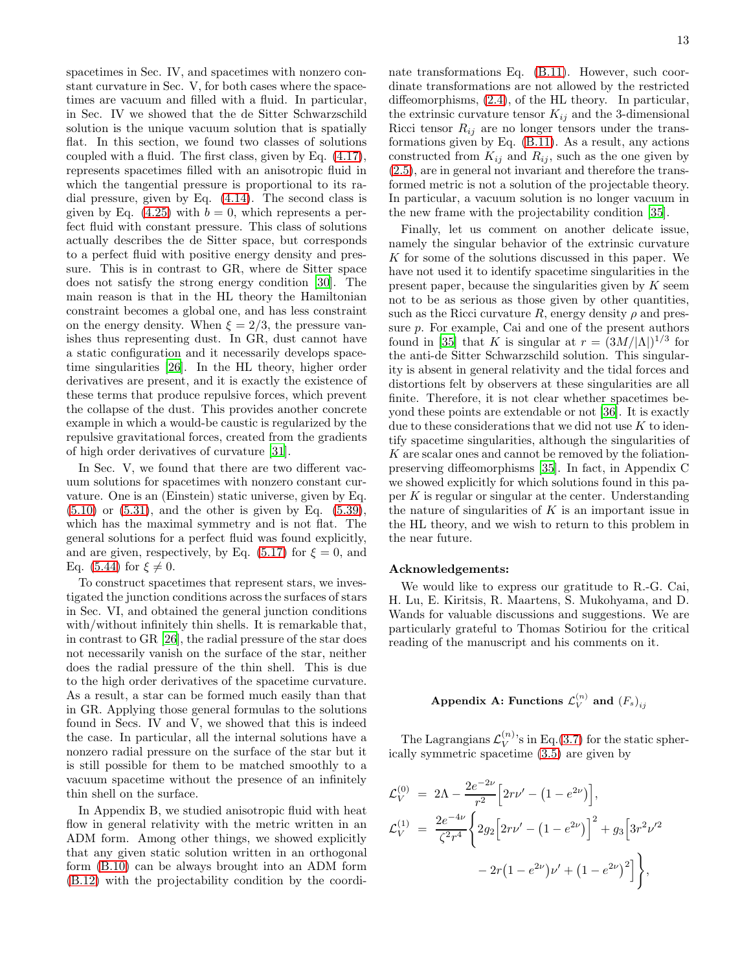spacetimes in Sec. IV, and spacetimes with nonzero constant curvature in Sec. V, for both cases where the spacetimes are vacuum and filled with a fluid. In particular, in Sec. IV we showed that the de Sitter Schwarzschild solution is the unique vacuum solution that is spatially flat. In this section, we found two classes of solutions coupled with a fluid. The first class, given by Eq. [\(4.17\)](#page-5-8), represents spacetimes filled with an anisotropic fluid in which the tangential pressure is proportional to its radial pressure, given by Eq. [\(4.14\)](#page-5-2). The second class is given by Eq.  $(4.25)$  with  $b = 0$ , which represents a perfect fluid with constant pressure. This class of solutions actually describes the de Sitter space, but corresponds to a perfect fluid with positive energy density and pressure. This is in contrast to GR, where de Sitter space does not satisfy the strong energy condition [\[30\]](#page-19-14). The main reason is that in the HL theory the Hamiltonian constraint becomes a global one, and has less constraint on the energy density. When  $\xi = 2/3$ , the pressure vanishes thus representing dust. In GR, dust cannot have a static configuration and it necessarily develops spacetime singularities [\[26](#page-19-10)]. In the HL theory, higher order derivatives are present, and it is exactly the existence of these terms that produce repulsive forces, which prevent the collapse of the dust. This provides another concrete example in which a would-be caustic is regularized by the repulsive gravitational forces, created from the gradients of high order derivatives of curvature [\[31\]](#page-19-15).

In Sec. V, we found that there are two different vacuum solutions for spacetimes with nonzero constant curvature. One is an (Einstein) static universe, given by Eq.  $(5.10)$  or  $(5.31)$ , and the other is given by Eq.  $(5.39)$ , which has the maximal symmetry and is not flat. The general solutions for a perfect fluid was found explicitly, and are given, respectively, by Eq. [\(5.17\)](#page-7-7) for  $\xi = 0$ , and Eq. [\(5.44\)](#page-9-1) for  $\xi \neq 0$ .

To construct spacetimes that represent stars, we investigated the junction conditions across the surfaces of stars in Sec. VI, and obtained the general junction conditions with/without infinitely thin shells. It is remarkable that, in contrast to GR [\[26](#page-19-10)], the radial pressure of the star does not necessarily vanish on the surface of the star, neither does the radial pressure of the thin shell. This is due to the high order derivatives of the spacetime curvature. As a result, a star can be formed much easily than that in GR. Applying those general formulas to the solutions found in Secs. IV and V, we showed that this is indeed the case. In particular, all the internal solutions have a nonzero radial pressure on the surface of the star but it is still possible for them to be matched smoothly to a vacuum spacetime without the presence of an infinitely thin shell on the surface.

In Appendix B, we studied anisotropic fluid with heat flow in general relativity with the metric written in an ADM form. Among other things, we showed explicitly that any given static solution written in an orthogonal form [\(B.10\)](#page-16-1) can be always brought into an ADM form [\(B.12\)](#page-16-2) with the projectability condition by the coordinate transformations Eq. [\(B.11\)](#page-16-3). However, such coordinate transformations are not allowed by the restricted diffeomorphisms, [\(2.4\)](#page-2-6), of the HL theory. In particular, the extrinsic curvature tensor  $K_{ij}$  and the 3-dimensional Ricci tensor  $R_{ij}$  are no longer tensors under the transformations given by Eq. [\(B.11\)](#page-16-3). As a result, any actions constructed from  $K_{ij}$  and  $R_{ij}$ , such as the one given by [\(2.5\)](#page-2-7), are in general not invariant and therefore the transformed metric is not a solution of the projectable theory. In particular, a vacuum solution is no longer vacuum in the new frame with the projectability condition [\[35\]](#page-19-19).

Finally, let us comment on another delicate issue, namely the singular behavior of the extrinsic curvature K for some of the solutions discussed in this paper. We have not used it to identify spacetime singularities in the present paper, because the singularities given by  $K$  seem not to be as serious as those given by other quantities, such as the Ricci curvature R, energy density  $\rho$  and pressure p. For example, Cai and one of the present authors found in [\[35](#page-19-19)] that K is singular at  $r = (3M/|\Lambda|)^{1/3}$  for the anti-de Sitter Schwarzschild solution. This singularity is absent in general relativity and the tidal forces and distortions felt by observers at these singularities are all finite. Therefore, it is not clear whether spacetimes beyond these points are extendable or not [\[36\]](#page-19-20). It is exactly due to these considerations that we did not use  $K$  to identify spacetime singularities, although the singularities of  $K$  are scalar ones and cannot be removed by the foliationpreserving diffeomorphisms [\[35\]](#page-19-19). In fact, in Appendix C we showed explicitly for which solutions found in this paper K is regular or singular at the center. Understanding the nature of singularities of  $K$  is an important issue in the HL theory, and we wish to return to this problem in the near future.

### Acknowledgements:

We would like to express our gratitude to R.-G. Cai, H. Lu, E. Kiritsis, R. Maartens, S. Mukohyama, and D. Wands for valuable discussions and suggestions. We are particularly grateful to Thomas Sotiriou for the critical reading of the manuscript and his comments on it.

# Appendix A: Functions  $\mathcal{L}_V^{(n)}$  and  $\left(F_s\right)_{ij}$

The Lagrangians  $\mathcal{L}_V^{(n)}$  $V^{(n)}$ 's in Eq.[\(3.7\)](#page-3-6) for the static spherically symmetric spacetime [\(3.5\)](#page-3-0) are given by

$$
\mathcal{L}_V^{(0)} = 2\Lambda - \frac{2e^{-2\nu}}{r^2} \Big[ 2r\nu' - (1 - e^{2\nu}) \Big],
$$
  
\n
$$
\mathcal{L}_V^{(1)} = \frac{2e^{-4\nu}}{\zeta^2 r^4} \Big\{ 2g_2 \Big[ 2r\nu' - (1 - e^{2\nu}) \Big]^2 + g_3 \Big[ 3r^2\nu'^2 - 2r(1 - e^{2\nu})\nu' + (1 - e^{2\nu})^2 \Big] \Big\},
$$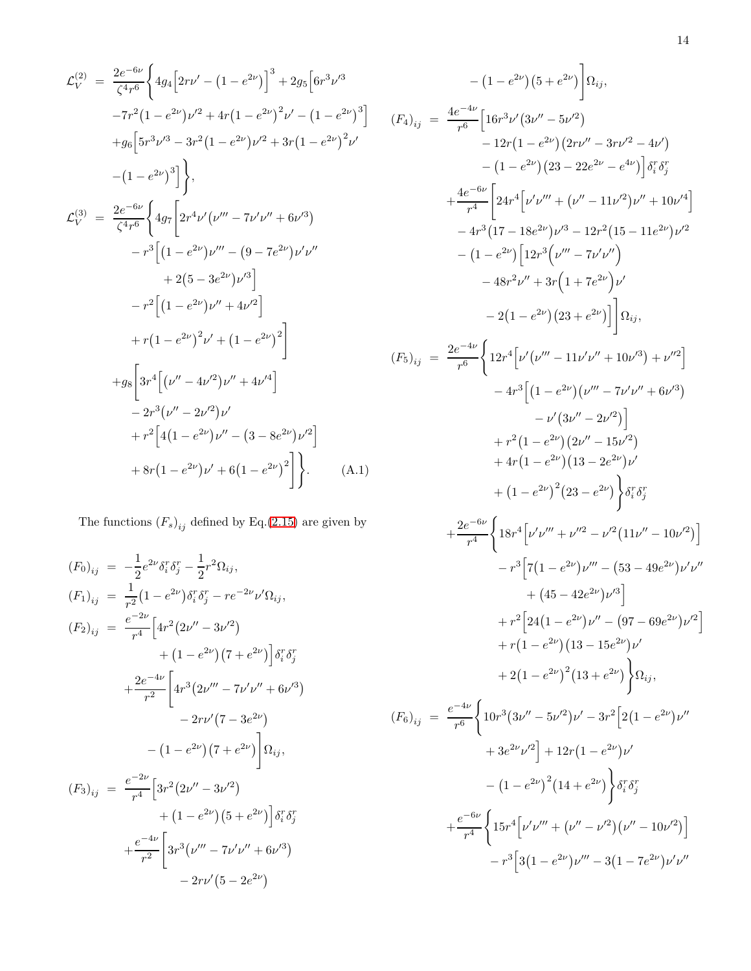$$
\mathcal{L}_V^{(2)} = \frac{2e^{-6\nu}}{\zeta^4 r^6} \Biggl\{ 4g_4 \Big[ 2r\nu' - (1 - e^{2\nu}) \Big]^3 + 2g_5 \Big[ 6r^3\nu'^3
$$
  
\n
$$
-7r^2 (1 - e^{2\nu})\nu'^2 + 4r (1 - e^{2\nu})^2 \nu' - (1 - e^{2\nu})^3 \Biggr]
$$
  
\n
$$
+g_6 \Big[ 5r^3\nu'^3 - 3r^2 (1 - e^{2\nu})\nu'^2 + 3r (1 - e^{2\nu})^2 \nu'
$$
  
\n
$$
- (1 - e^{2\nu})^3 \Biggr] \Biggr\},
$$
  
\n
$$
\mathcal{L}_V^{(3)} = \frac{2e^{-6\nu}}{\zeta^4 r^6} \Biggl\{ 4g_7 \Big[ 2r^4\nu' (\nu''' - 7\nu'\nu'' + 6\nu'^3) - r^3 \Big[ (1 - e^{2\nu})\nu''' - (9 - 7e^{2\nu})\nu'\nu''
$$
  
\n
$$
+ 2(5 - 3e^{2\nu})\nu'^3 \Biggr]
$$
  
\n
$$
- r^2 \Big[ (1 - e^{2\nu})\nu'' + 4\nu'^2 \Biggr]
$$
  
\n
$$
+ r (1 - e^{2\nu})^2\nu' + (1 - e^{2\nu})^2 \Biggr]
$$
  
\n
$$
+ g_8 \Big[ 3r^4 \Big[ (\nu'' - 4\nu'^2)\nu'' + 4\nu'^4 \Big]
$$
  
\n
$$
- 2r^3 (\nu'' - 2\nu'^2)\nu'
$$
  
\n
$$
+ r^2 \Big[ 4(1 - e^{2\nu})\nu'' - (3 - 8e^{2\nu})\nu'^2 \Big] \Biggr\}.
$$
  
\n(A.1)

The functions  $(F_s)_{ij}$  defined by Eq.[\(2.15\)](#page-2-5) are given by

$$
(F_0)_{ij} = -\frac{1}{2}e^{2\nu}\delta_i^r \delta_j^r - \frac{1}{2}r^2 \Omega_{ij},
$$
  
\n
$$
(F_1)_{ij} = \frac{1}{r^2}(1 - e^{2\nu})\delta_i^r \delta_j^r - r e^{-2\nu}\nu' \Omega_{ij},
$$
  
\n
$$
(F_2)_{ij} = \frac{e^{-2\nu}}{r^4}\Big[4r^2(2\nu'' - 3\nu'^2) + (1 - e^{2\nu})(7 + e^{2\nu})\Big]\delta_i^r \delta_j^r
$$
  
\n
$$
+ \frac{2e^{-4\nu}}{r^2}\Big[4r^3(2\nu''' - 7\nu'\nu'' + 6\nu'^3) - 2r\nu'\big(7 - 3e^{2\nu}\big) - (1 - e^{2\nu})(7 + e^{2\nu})\Big]\Omega_{ij},
$$
  
\n
$$
(F_3)_{ij} = \frac{e^{-2\nu}}{r^4}\Big[3r^2(2\nu'' - 3\nu'^2) + (1 - e^{2\nu})(5 + e^{2\nu})\Big]\delta_i^r \delta_j^r
$$
  
\n
$$
+ \frac{e^{-4\nu}}{r^2}\Big[3r^3(\nu''' - 7\nu'\nu'' + 6\nu'^3) - 2r\nu'\big(5 - 2e^{2\nu}\big)
$$

$$
-(1-e^{2\nu})(5+e^{2\nu})\Big[\Omega_{ij},
$$
  
\n
$$
(F_4)_{ij} = \frac{4e^{-4\nu}}{r^6}\Big[16r^3\nu'(3\nu'' - 5\nu'^2) - 12r(1-e^{2\nu})(2r\nu'' - 3r\nu'^2 - 4\nu') - (1-e^{2\nu})(23-22e^{2\nu}-e^{4\nu})\Big]\delta_i^r \delta_j^r
$$
  
\n
$$
+ \frac{4e^{-6\nu}}{r^4}\Big[24r^4\Big[\nu'\nu''' + (\nu'' - 11\nu'^2)\nu'' + 10\nu'^4\Big]
$$
  
\n
$$
- 4r^3(17-18e^{2\nu})\nu'^3 - 12r^2(15-11e^{2\nu})\nu'^2
$$
  
\n
$$
- (1-e^{2\nu})\Big[12r^3\Big(\nu''' - 7\nu'\nu''\Big)
$$
  
\n
$$
- 48r^2\nu'' + 3r\Big(1+7e^{2\nu}\Big)\nu'
$$
  
\n
$$
- 2(1-e^{2\nu})(23+e^{2\nu})\Big]\Big[\Omega_{ij},
$$
  
\n
$$
(F_5)_{ij} = \frac{2e^{-4\nu}}{r^6}\Big\{12r^4\Big[\nu'(\nu''' - 11\nu'\nu'' + 10\nu'^3) + \nu'^2\Big]
$$
  
\n
$$
- 4r^3\Big[(1-e^{2\nu})(2\nu'' - 7\nu'\nu'' + 6\nu'^3)\Big]
$$
  
\n
$$
- \nu'(3\nu'' - 2\nu'^2)\Big]
$$
  
\n
$$
+ r^2(1-e^{2\nu})(13-2e^{2\nu})\nu'
$$
  
\n
$$
+ (1-e^{2\nu})^2(23-e^{2\nu})\Big\}\delta_i^r \delta_j^r
$$
  
\n
$$
+ \frac{2e^{-6\nu}}{r^4}\Big\{18r^4\Big[\nu'\nu''' + \nu''^2 - \nu^2(11\nu'' - 10\nu'^2)\Big]
$$
  
\n
$$
- r^3\Big[7(1-e^{2\nu})\nu'' - (53-49e^{2\nu})\nu'\nu''\Big]
$$
<

$$
+\frac{e^{-6\nu}}{r^4} \Biggl\{ 15r^4 \Biggl[ \nu' \nu''' + (\nu'' - \nu'^2) (\nu'' - 10\nu'^2) \Biggr] - r^3 \Biggl[ 3(1 - e^{2\nu}) \nu''' - 3(1 - 7e^{2\nu}) \nu' \nu''
$$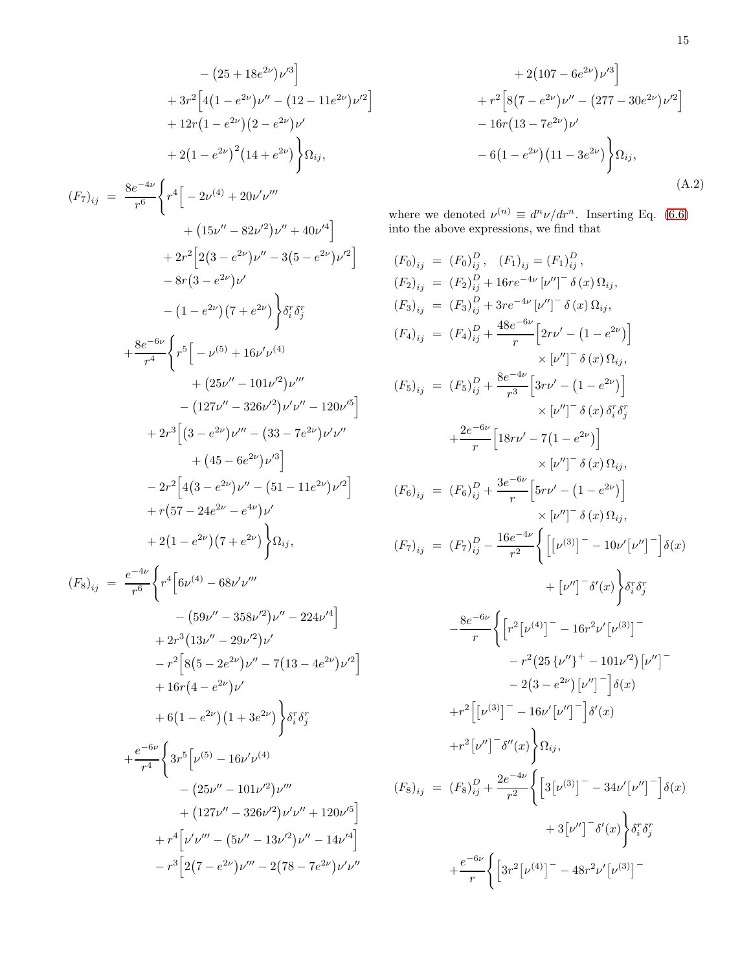$$
-(25+18e^{2\nu})\nu^{3}\Big] +3r^{2}\Big[4(1-e^{2\nu})\nu''-(12-11e^{2\nu})\nu^{2}\Big] +12r(1-e^{2\nu})(2-e^{2\nu})\nu' +2(1-e^{2\nu})^{2}(14+e^{2\nu})\Big\}\Omega_{ij},
$$
  
\n
$$
(F_{7})_{ij} = \frac{8e^{-4\nu}}{r^{6}}\Big\{r^{4}\Big[-2\nu^{(4)}+20\nu'\nu'''\Big.\hspace{1cm} \nonumber \\ + (15\nu''-82\nu'^{2})\nu''+40\nu'^{4}\Big] +2r^{2}\Big[2(3-e^{2\nu})\nu''-3(5-e^{2\nu})\nu'^{2}\Big] -8r(3-e^{2\nu})\nu' - (1-e^{2\nu})(7+e^{2\nu})\Big\}\delta_{i}^{x}\delta_{j}^{x} + \frac{8e^{-6\nu}}{r^{4}}\Big\{r^{5}\Big[-\nu^{(5)}+16\nu'\nu^{(4)} \nonumber \\ + (25\nu''-101\nu'^{2})\nu'''\Big] - (127\nu''-326\nu'^{2})\nu'\nu''-120\nu'^{5}\Big] +2r^{3}\Big[(3-e^{2\nu})\nu'''-(33-7e^{2\nu})\nu'\nu'' \nonumber \\ + (45-6e^{2\nu})\nu'^{3}\Big] -2r^{2}\Big[4(3-e^{2\nu})\nu'''-(51-11e^{2\nu})\nu'^{2}\Big] +r(57-24e^{2\nu}-e^{4\nu})\nu' +2(1-e^{2\nu})(7+e^{2\nu})\Big\}\Omega_{ij},
$$
  
\n
$$
(F_{8})_{ij} = \frac{e^{-4\nu}}{r^{6}}\Big\{r^{4}\Big[6\nu^{(4)}-68\nu'\nu'''\nonumber \\ - (59\nu''-358\nu'^{2})\nu''-224\nu'^{4}\Big] +2r^{3}(13\nu''-29\nu'^{2})\nu' -r^{2}\Big[8(5-2e^{2\nu})\nu''-7(13-4e^{2\nu})\nu'^{2}\Big] +6(1-e^{2\nu})(1+3e^{2
$$

$$
+ 2(107 - 6e^{2\nu})\nu'^3\n+ r^2 \left[8(7 - e^{2\nu})\nu'' - (277 - 30e^{2\nu})\nu'^2\right] - 16r(13 - 7e^{2\nu})\nu' - 6(1 - e^{2\nu})(11 - 3e^{2\nu})\nQij,
$$
\n(A.2)

where we denoted  $\nu^{(n)} \equiv d^n \nu / dr^n$ . Inserting Eq. [\(6.6\)](#page-9-2) into the above expressions, we find that

$$
(F_0)_{ij} = (F_0)_{ij}^D, (F_1)_{ij} = (F_1)_{ij}^D,
$$
  
\n
$$
(F_2)_{ij} = (F_2)_{ij}^D + 16re^{-4\nu} [\nu'']^T \delta(x) \Omega_{ij},
$$
  
\n
$$
(F_3)_{ij} = (F_3)_{ij}^D + 3re^{-4\nu} [\nu'']^T \delta(x) \Omega_{ij},
$$
  
\n
$$
(F_4)_{ij} = (F_4)_{ij}^D + \frac{48e^{-6\nu}}{r} [2r\nu' - (1 - e^{2\nu})]
$$
  
\n
$$
\times [\nu'']^T \delta(x) \Omega_{ij},
$$
  
\n
$$
(F_5)_{ij} = (F_5)_{ij}^D + \frac{8e^{-4\nu}}{r^3} [3r\nu' - (1 - e^{2\nu})]
$$
  
\n
$$
\times [\nu'']^T \delta(x) \delta_i^r \delta_j^r
$$
  
\n
$$
+ \frac{2e^{-6\nu}}{r} [18r\nu' - 7(1 - e^{2\nu})]
$$
  
\n
$$
\times [\nu'']^T \delta(x) \Omega_{ij},
$$
  
\n
$$
(F_6)_{ij} = (F_6)_{ij}^D + \frac{3e^{-6\nu}}{r} [5r\nu' - (1 - e^{2\nu})]
$$
  
\n
$$
\times [\nu'']^T \delta(x) \Omega_{ij},
$$
  
\n
$$
(F_7)_{ij} = (F_7)_{ij}^D - \frac{16e^{-4\nu}}{r^2} \left\{ [[\nu^{(3)}]^- - 10\nu' [\nu'']^-] \delta(x) + [\nu'']^- \delta'(x) \right\} \delta_i^r \delta_j^r
$$
  
\n
$$
- \frac{8e^{-6\nu}}{r} \left\{ [r^2 [\nu^{(4)}]^- - 16r^2\nu' [\nu^{(3)}]^- - r^2 (25 {\{\nu''} }^+ - 101\nu'^2) [\nu'']^- - 2(3 - e^{2\nu}) [\nu'']^-] \delta(x) + r^2 [\nu'']^- \delta'(x) \right\} \delta_{i}^r \delta_{j}^r
$$
  
\n
$$
+ r^2 [\nu'']^-
$$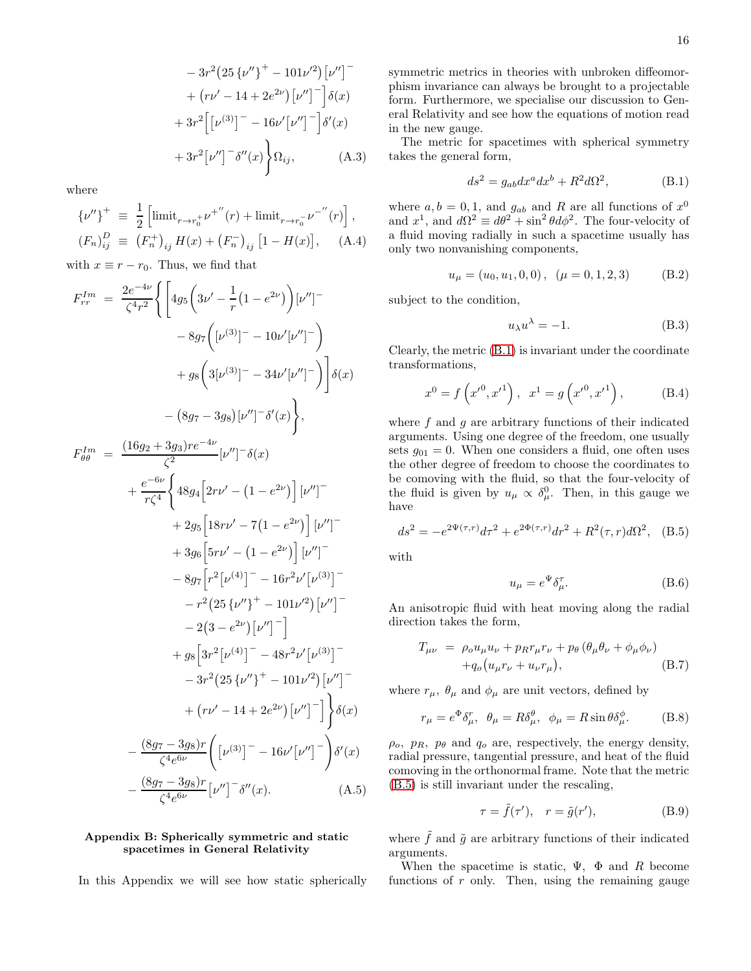$$
-3r^{2}(25\left\{\nu''\right\}^{+}-101\nu'^{2})\left[\nu''\right]^{-}
$$

$$
+(r\nu'-14+2e^{2\nu})\left[\nu''\right]^{-}\right]\delta(x)
$$

$$
+3r^{2}\left[\left[\nu^{(3)}\right]^{-}-16\nu'\left[\nu''\right]^{-}\right]\delta'(x)
$$

$$
+3r^{2}\left[\nu''\right]^{-}\delta''(x)\left\{\Omega_{ij},\right\} \tag{A.3}
$$

$$
\{\nu''\}^+ \equiv \frac{1}{2} \left[ \text{limit}_{r \to r_0^+} \nu^{+''}(r) + \text{limit}_{r \to r_0^-} \nu^{-''}(r) \right],
$$
  

$$
(F_n)_{ij}^D \equiv (F_n^+)_{ij} H(x) + (F_n^-)_{ij} [1 - H(x)], \quad \text{(A.4)}
$$

with  $x \equiv r - r_0$ . Thus, we find that

F Im rr = 2e −4ν ζ 4r 2 ("4g<sup>5</sup> 3ν ′ − 1 r 1 − e 2ν [ν ′′] − − 8g<sup>7</sup> [ν (3)] <sup>−</sup> <sup>−</sup> <sup>10</sup><sup>ν</sup> ′ [ν ′′] − + g<sup>8</sup> 3[ν (3)] <sup>−</sup> <sup>−</sup> <sup>34</sup><sup>ν</sup> ′ [ν ′′] − # δ(x) − 8g<sup>7</sup> − 3g<sup>8</sup> [ν ′′] −δ ′ (x) ) , F Im θθ = (16g<sup>2</sup> + 3g3)re<sup>−</sup>4<sup>ν</sup> ζ 2 [ν ′′] <sup>−</sup>δ(x) + e −6ν rζ<sup>4</sup> ( 48g<sup>4</sup> h <sup>2</sup>rν′ <sup>−</sup> 1 − e 2ν i [ν ′′] − + 2g<sup>5</sup> h <sup>18</sup>rν′ <sup>−</sup> <sup>7</sup> 1 − e 2ν i [ν ′′] − + 3g<sup>6</sup> h <sup>5</sup>rν′ <sup>−</sup> 1 − e 2ν i [ν ′′] − − 8g<sup>7</sup> h r 2 ν (4)<sup>−</sup> − 16r 2 ν ′ ν (3)<sup>−</sup> − r 2 25 {ν ′′} <sup>+</sup> <sup>−</sup> <sup>101</sup><sup>ν</sup> ′2 ν ′′<sup>−</sup> − 2 3 − e 2ν ν ′′<sup>−</sup> i + g<sup>8</sup> h 3r 2 ν (4)<sup>−</sup> − 48r 2 ν ′ ν (3)<sup>−</sup> − 3r 2 25 {ν ′′} <sup>+</sup> <sup>−</sup> <sup>101</sup><sup>ν</sup> ′2 ν ′′<sup>−</sup> + rν′ <sup>−</sup> 14 + 2<sup>e</sup> 2ν ν ′′<sup>−</sup> i ) δ(x) − (8g<sup>7</sup> − 3g8)r ζ 4e 6ν ν (3)<sup>−</sup> − 16ν ′ ν ′′<sup>−</sup> ! δ ′ (x) − (8g<sup>7</sup> − 3g8)r ζ 4e 6ν ν ′′<sup>−</sup> δ ′′(x). (A.5)

#### Appendix B: Spherically symmetric and static spacetimes in General Relativity

In this Appendix we will see how static spherically

symmetric metrics in theories with unbroken diffeomorphism invariance can always be brought to a projectable form. Furthermore, we specialise our discussion to General Relativity and see how the equations of motion read in the new gauge.

The metric for spacetimes with spherical symmetry takes the general form,

$$
ds^2 = g_{ab}dx^a dx^b + R^2 d\Omega^2,
$$
 (B.1)

where  $a, b = 0, 1$ , and  $g_{ab}$  and R are all functions of  $x^0$ and  $x^1$ , and  $d\Omega^2 \equiv d\theta^2 + \sin^2 \theta d\phi^2$ . The four-velocity of a fluid moving radially in such a spacetime usually has only two nonvanishing components,

$$
u_{\mu} = (u_0, u_1, 0, 0), \ (\mu = 0, 1, 2, 3) \tag{B.2}
$$

subject to the condition,

$$
u_{\lambda}u^{\lambda} = -1. \tag{B.3}
$$

Clearly, the metric [\(B.1\)](#page-17-12) is invariant under the coordinate transformations,

$$
x^{0} = f\left(x'^{0}, x'^{1}\right), x^{1} = g\left(x'^{0}, x'^{1}\right), \qquad (B.4)
$$

where  $f$  and  $g$  are arbitrary functions of their indicated arguments. Using one degree of the freedom, one usually sets  $g_{01} = 0$ . When one considers a fluid, one often uses the other degree of freedom to choose the coordinates to be comoving with the fluid, so that the four-velocity of the fluid is given by  $u_{\mu} \propto \delta_{\mu}^{0}$ . Then, in this gauge we have

$$
ds^{2} = -e^{2\Psi(\tau,r)}d\tau^{2} + e^{2\Phi(\tau,r)}dr^{2} + R^{2}(\tau,r)d\Omega^{2}, \quad (B.5)
$$

with

$$
u_{\mu} = e^{\Psi} \delta_{\mu}^{\tau}.
$$
 (B.6)

An anisotropic fluid with heat moving along the radial direction takes the form,

$$
T_{\mu\nu} = \rho_o u_{\mu} u_{\nu} + p_R r_{\mu} r_{\nu} + p_{\theta} (\theta_{\mu} \theta_{\nu} + \phi_{\mu} \phi_{\nu})
$$
  
+ $q_o (u_{\mu} r_{\nu} + u_{\nu} r_{\mu}),$  (B.7)

where  $r_{\mu}$ ,  $\theta_{\mu}$  and  $\phi_{\mu}$  are unit vectors, defined by

$$
r_{\mu} = e^{\Phi} \delta_{\mu}^{r}, \ \ \theta_{\mu} = R \delta_{\mu}^{\theta}, \ \ \phi_{\mu} = R \sin \theta \delta_{\mu}^{\phi}.
$$
 (B.8)

 $\rho_o$ ,  $p_R$ ,  $p_\theta$  and  $q_o$  are, respectively, the energy density, radial pressure, tangential pressure, and heat of the fluid comoving in the orthonormal frame. Note that the metric [\(B.5\)](#page-17-15) is still invariant under the rescaling,

<span id="page-15-0"></span>
$$
\tau = \tilde{f}(\tau'), \quad r = \tilde{g}(r'), \tag{B.9}
$$

where  $\tilde{f}$  and  $\tilde{g}$  are arbitrary functions of their indicated arguments.

When the spacetime is static,  $\Psi$ ,  $\Phi$  and R become functions of  $r$  only. Then, using the remaining gauge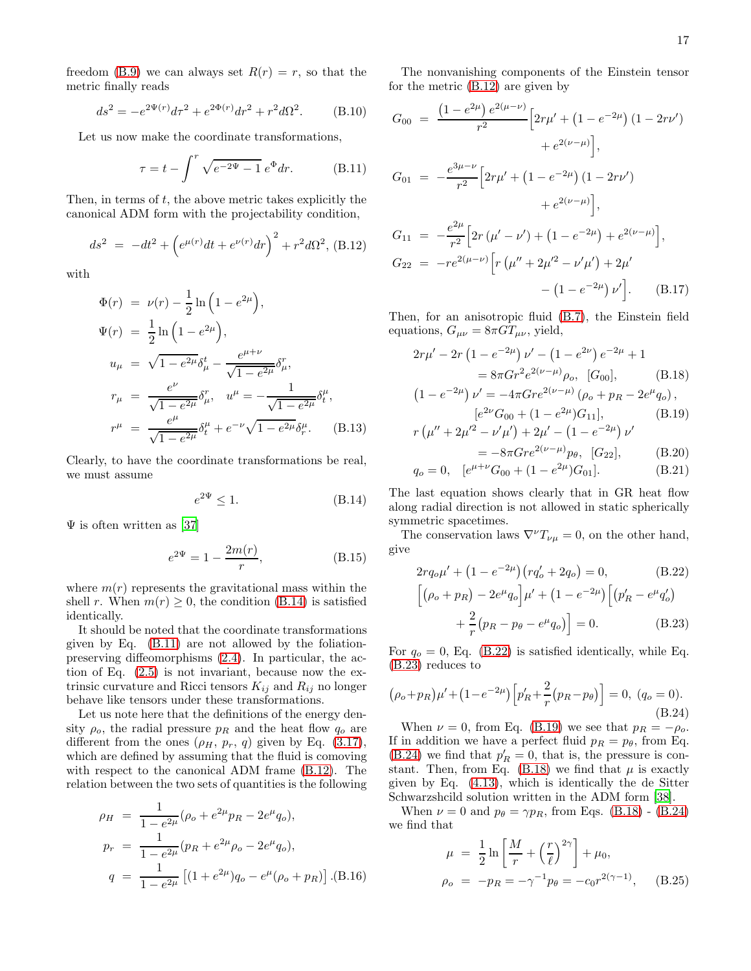freedom [\(B.9\)](#page-15-0) we can always set  $R(r) = r$ , so that the metric finally reads

<span id="page-16-1"></span>
$$
ds^{2} = -e^{2\Psi(r)}d\tau^{2} + e^{2\Phi(r)}dr^{2} + r^{2}d\Omega^{2}.
$$
 (B.10)

Let us now make the coordinate transformations,

<span id="page-16-3"></span>
$$
\tau = t - \int^{r} \sqrt{e^{-2\Psi} - 1} e^{\Phi} dr.
$$
 (B.11)

Then, in terms of  $t$ , the above metric takes explicitly the canonical ADM form with the projectability condition,

<span id="page-16-2"></span>
$$
ds^{2} = -dt^{2} + \left(e^{\mu(r)}dt + e^{\nu(r)}dr\right)^{2} + r^{2}d\Omega^{2}, \text{ (B.12)}
$$

with

$$
\Phi(r) = \nu(r) - \frac{1}{2} \ln \left( 1 - e^{2\mu} \right),
$$
  
\n
$$
\Psi(r) = \frac{1}{2} \ln \left( 1 - e^{2\mu} \right),
$$
  
\n
$$
u_{\mu} = \sqrt{1 - e^{2\mu}} \delta_{\mu}^{t} - \frac{e^{\mu + \nu}}{\sqrt{1 - e^{2\mu}}} \delta_{\mu}^{r},
$$
  
\n
$$
r_{\mu} = \frac{e^{\nu}}{\sqrt{1 - e^{2\mu}}} \delta_{\mu}^{r}, \quad u^{\mu} = -\frac{1}{\sqrt{1 - e^{2\mu}}} \delta_{t}^{\mu},
$$
  
\n
$$
r^{\mu} = \frac{e^{\mu}}{\sqrt{1 - e^{2\mu}}} \delta_{t}^{\mu} + e^{-\nu} \sqrt{1 - e^{2\mu}} \delta_{r}^{\mu}.
$$
 (B.13)

Clearly, to have the coordinate transformations be real, we must assume

<span id="page-16-4"></span>
$$
e^{2\Psi} \le 1. \tag{B.14}
$$

 $\Psi$  is often written as [\[37](#page-19-21)]

$$
e^{2\Psi} = 1 - \frac{2m(r)}{r},
$$
 (B.15)

where  $m(r)$  represents the gravitational mass within the shell r. When  $m(r) \geq 0$ , the condition [\(B.14\)](#page-16-4) is satisfied identically.

It should be noted that the coordinate transformations given by Eq. [\(B.11\)](#page-16-3) are not allowed by the foliationpreserving diffeomorphisms [\(2.4\)](#page-2-6). In particular, the action of Eq. [\(2.5\)](#page-2-7) is not invariant, because now the extrinsic curvature and Ricci tensors  $K_{ij}$  and  $R_{ij}$  no longer behave like tensors under these transformations.

Let us note here that the definitions of the energy density  $\rho_o$ , the radial pressure  $p_R$  and the heat flow  $q_o$  are different from the ones  $(\rho_H, p_r, q)$  given by Eq. [\(3.17\)](#page-4-4), which are defined by assuming that the fluid is comoving with respect to the canonical ADM frame [\(B.12\)](#page-16-2). The relation between the two sets of quantities is the following

$$
\rho_H = \frac{1}{1 - e^{2\mu}} (\rho_o + e^{2\mu} p_R - 2e^{\mu} q_o),
$$
  
\n
$$
p_r = \frac{1}{1 - e^{2\mu}} (p_R + e^{2\mu} \rho_o - 2e^{\mu} q_o),
$$
  
\n
$$
q = \frac{1}{1 - e^{2\mu}} [(1 + e^{2\mu}) q_o - e^{\mu} (\rho_o + p_R)].
$$
(B.16)

The nonvanishing components of the Einstein tensor for the metric [\(B.12\)](#page-16-2) are given by

$$
G_{00} = \frac{(1 - e^{2\mu}) e^{2(\mu - \nu)}}{r^2} \Big[ 2r\mu' + (1 - e^{-2\mu}) (1 - 2r\nu') + e^{2(\nu - \mu)} \Big],
$$
  
\n
$$
G_{01} = -\frac{e^{3\mu - \nu}}{r^2} \Big[ 2r\mu' + (1 - e^{-2\mu}) (1 - 2r\nu') + e^{2(\nu - \mu)} \Big],
$$
  
\n
$$
G_{11} = -\frac{e^{2\mu}}{r^2} \Big[ 2r (\mu' - \nu') + (1 - e^{-2\mu}) + e^{2(\nu - \mu)} \Big],
$$
  
\n
$$
G_{22} = -re^{2(\mu - \nu)} \Big[ r (\mu'' + 2\mu'^2 - \nu' \mu') + 2\mu' - (1 - e^{-2\mu}) \nu' \Big].
$$
 (B.17)

Then, for an anisotropic fluid [\(B.7\)](#page-17-14), the Einstein field equations,  $G_{\mu\nu} = 8\pi G T_{\mu\nu}$ , yield,

<span id="page-16-6"></span>
$$
2r\mu' - 2r\left(1 - e^{-2\mu}\right)\nu' - \left(1 - e^{2\nu}\right)e^{-2\mu} + 1
$$
  
=  $8\pi G r^2 e^{2(\nu - \mu)}\rho_o$ , [G<sub>00</sub>], (B.18)  

$$
\left(1 - e^{-2\mu}\right)\nu' = -4\pi G r e^{2(\nu - \mu)}\left(\rho_o + p_R - 2e^{\mu}q_o\right),
$$

$$
[e^{2\nu}G_{00} + (1 - e^{2\mu})G_{11}],
$$
  
\n
$$
r(\mu'' + 2\mu'^2 - \nu'\mu') + 2\mu' - (1 - e^{-2\mu})\nu'
$$
 (B.19)

+ 
$$
2\mu'^2 - \nu'\mu' + 2\mu' - (1 - e^{-2\mu})\nu'
$$
  
=  $-8\pi G r e^{2(\nu - \mu)} p_\theta$ , [G<sub>22</sub>], (B.20)

$$
q_o = 0, \quad [e^{\mu + \nu} G_{00} + (1 - e^{2\mu}) G_{01}]. \tag{B.21}
$$

The last equation shows clearly that in GR heat flow along radial direction is not allowed in static spherically symmetric spacetimes.

The conservation laws  $\nabla^{\nu}T_{\nu\mu}=0$ , on the other hand, give

<span id="page-16-5"></span>
$$
2rq_{o}\mu' + (1 - e^{-2\mu})(rq'_{o} + 2q_{o}) = 0,
$$
\n
$$
[(\rho_{o} + p_{R}) - 2e^{\mu}q_{o}] \mu' + (1 - e^{-2\mu}) [(p'_{R} - e^{\mu}q'_{o}) + \frac{2}{r}(p_{R} - p_{\theta} - e^{\mu}q_{o})] = 0.
$$
\n(B.23)

For  $q_0 = 0$ , Eq. [\(B.22\)](#page-16-5) is satisfied identically, while Eq. [\(B.23\)](#page-16-5) reduces to

<span id="page-16-7"></span>
$$
(\rho_o + p_R)\mu' + (1 - e^{-2\mu})\left[p'_R + \frac{2}{r}(p_R - p_\theta)\right] = 0, (q_o = 0).
$$
\n(B.24)

When  $\nu = 0$ , from Eq. [\(B.19\)](#page-16-6) we see that  $p_R = -\rho_o$ . If in addition we have a perfect fluid  $p_R = p_\theta$ , from Eq. [\(B.24\)](#page-16-7) we find that  $p'_R = 0$ , that is, the pressure is con-stant. Then, from Eq. [\(B.18\)](#page-16-6) we find that  $\mu$  is exactly given by Eq. [\(4.13\)](#page-5-1), which is identically the de Sitter Schwarzshcild solution written in the ADM form [\[38\]](#page-19-22).

When  $\nu = 0$  and  $p_\theta = \gamma p_R$ , from Eqs. [\(B.18\)](#page-16-6) - [\(B.24\)](#page-16-7) we find that

<span id="page-16-0"></span>
$$
\mu = \frac{1}{2} \ln \left[ \frac{M}{r} + \left( \frac{r}{\ell} \right)^{2\gamma} \right] + \mu_0,
$$
  
\n
$$
\rho_o = -p_R = -\gamma^{-1} p_\theta = -c_0 r^{2(\gamma - 1)}, \quad (B.25)
$$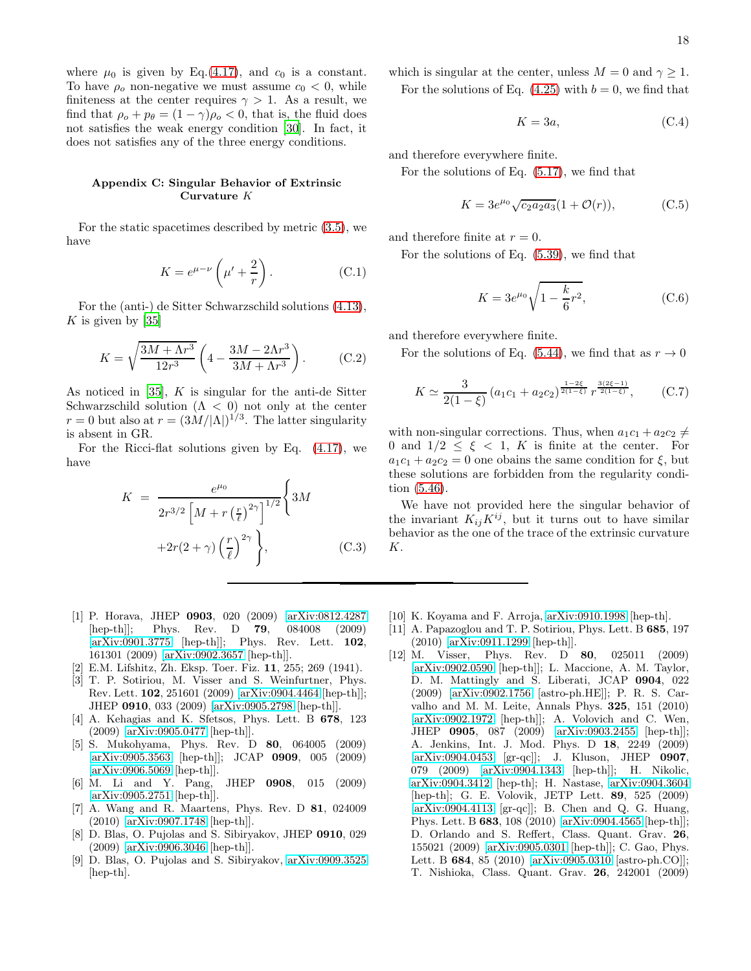where  $\mu_0$  is given by Eq.[\(4.17\)](#page-5-8), and  $c_0$  is a constant. To have  $\rho_o$  non-negative we must assume  $c_0 < 0$ , while finiteness at the center requires  $\gamma > 1$ . As a result, we find that  $\rho_o + p_\theta = (1 - \gamma)\rho_o < 0$ , that is, the fluid does not satisfies the weak energy condition [\[30\]](#page-19-14). In fact, it does not satisfies any of the three energy conditions.

### Appendix C: Singular Behavior of Extrinsic Curvature K

For the static spacetimes described by metric [\(3.5\)](#page-3-0), we have

<span id="page-17-12"></span>
$$
K = e^{\mu - \nu} \left( \mu' + \frac{2}{r} \right). \tag{C.1}
$$

For the (anti-) de Sitter Schwarzschild solutions [\(4.13\)](#page-5-1), K is given by [\[35](#page-19-19)]

<span id="page-17-13"></span>
$$
K = \sqrt{\frac{3M + \Lambda r^3}{12r^3}} \left( 4 - \frac{3M - 2\Lambda r^3}{3M + \Lambda r^3} \right). \tag{C.2}
$$

As noticed in  $[35]$ , K is singular for the anti-de Sitter Schwarzschild solution  $(Λ < 0)$  not only at the center  $r = 0$  but also at  $r = (3M/|\Lambda|)^{1/3}$ . The latter singularity is absent in GR.

For the Ricci-flat solutions given by Eq. [\(4.17\)](#page-5-8), we have

<span id="page-17-16"></span>
$$
K = \frac{e^{\mu_0}}{2r^{3/2} \left[M + r\left(\frac{r}{\ell}\right)^{2\gamma}\right]^{1/2}} \left\{ 3M + 2r(2+\gamma)\left(\frac{r}{\ell}\right)^{2\gamma} \right\},\tag{C.3}
$$

- <span id="page-17-0"></span>[1] P. Horava, JHEP 0903, 020 (2009) [\[arXiv:0812.4287](http://arxiv.org/abs/0812.4287) [hep-th]]; Phys. Rev. D 79, 084008 (2009) [\[arXiv:0901.3775](http://arxiv.org/abs/0901.3775) [hep-th]]; Phys. Rev. Lett. 102, 161301 (2009) [\[arXiv:0902.3657](http://arxiv.org/abs/0902.3657) [hep-th]].
- <span id="page-17-1"></span>[2] E.M. Lifshitz, Zh. Eksp. Toer. Fiz. 11, 255; 269 (1941).
- <span id="page-17-2"></span>[3] T. P. Sotiriou, M. Visser and S. Weinfurtner, Phys. Rev. Lett. 102, 251601 (2009) [\[arXiv:0904.4464](http://arxiv.org/abs/0904.4464) [hep-th]]; JHEP 0910, 033 (2009) [\[arXiv:0905.2798](http://arxiv.org/abs/0905.2798) [hep-th]].
- <span id="page-17-3"></span>[4] A. Kehagias and K. Sfetsos, Phys. Lett. B 678, 123 (2009) [\[arXiv:0905.0477](http://arxiv.org/abs/0905.0477) [hep-th]].
- <span id="page-17-4"></span>[5] S. Mukohyama, Phys. Rev. D 80, 064005 (2009)  $\text{[arXiv:0905.3563} \quad \text{[hep-th]}; \quad \text{JCAP} \quad \textbf{0909}, \quad \text{005} \quad \text{(2009)}$  $\text{[arXiv:0905.3563} \quad \text{[hep-th]}; \quad \text{JCAP} \quad \textbf{0909}, \quad \text{005} \quad \text{(2009)}$  $\text{[arXiv:0905.3563} \quad \text{[hep-th]}; \quad \text{JCAP} \quad \textbf{0909}, \quad \text{005} \quad \text{(2009)}$ [\[arXiv:0906.5069](http://arxiv.org/abs/0906.5069) [hep-th]].
- <span id="page-17-5"></span>[6] M. Li and Y. Pang, JHEP 0908, 015 (2009) [\[arXiv:0905.2751](http://arxiv.org/abs/0905.2751) [hep-th]].
- <span id="page-17-6"></span>[7] A. Wang and R. Maartens, Phys. Rev. D 81, 024009 (2010) [\[arXiv:0907.1748](http://arxiv.org/abs/0907.1748) [hep-th]].
- <span id="page-17-7"></span>[8] D. Blas, O. Pujolas and S. Sibiryakov, JHEP 0910, 029 (2009) [\[arXiv:0906.3046](http://arxiv.org/abs/0906.3046) [hep-th]].
- <span id="page-17-8"></span>[9] D. Blas, O. Pujolas and S. Sibiryakov, [arXiv:0909.3525](http://arxiv.org/abs/0909.3525) [hep-th].

which is singular at the center, unless  $M = 0$  and  $\gamma \geq 1$ . For the solutions of Eq.  $(4.25)$  with  $b = 0$ , we find that

<span id="page-17-17"></span>
$$
K = 3a,\t(C.4)
$$

and therefore everywhere finite.

For the solutions of Eq. [\(5.17\)](#page-7-7), we find that

<span id="page-17-15"></span>
$$
K = 3e^{\mu_0}\sqrt{c_2 a_2 a_3} (1 + \mathcal{O}(r)),
$$
 (C.5)

and therefore finite at  $r = 0$ .

For the solutions of Eq. [\(5.39\)](#page-8-5), we find that

$$
K = 3e^{\mu_0}\sqrt{1 - \frac{k}{6}r^2},
$$
 (C.6)

and therefore everywhere finite.

For the solutions of Eq. [\(5.44\)](#page-9-1), we find that as  $r \to 0$ 

<span id="page-17-14"></span>
$$
K \simeq \frac{3}{2(1-\xi)} \left( a_1 c_1 + a_2 c_2 \right)^{\frac{1-2\xi}{2(1-\xi)}} r^{\frac{3(2\xi-1)}{2(1-\xi)}}, \quad (C.7)
$$

with non-singular corrections. Thus, when  $a_1c_1 + a_2c_2 \neq$ 0 and  $1/2 \leq \xi \leq 1$ , K is finite at the center. For  $a_1c_1 + a_2c_2 = 0$  one obains the same condition for  $\xi$ , but these solutions are forbidden from the regularity condition [\(5.46\)](#page-9-3).

We have not provided here the singular behavior of the invariant  $K_{ij}K^{ij}$ , but it turns out to have similar behavior as the one of the trace of the extrinsic curvature K.

- <span id="page-17-9"></span>[10] K. Koyama and F. Arroja, [arXiv:0910.1998](http://arxiv.org/abs/0910.1998) [hep-th].
- <span id="page-17-10"></span>[11] A. Papazoglou and T. P. Sotiriou, Phys. Lett. B 685, 197 (2010) [\[arXiv:0911.1299](http://arxiv.org/abs/0911.1299) [hep-th]].
- <span id="page-17-11"></span>[12] M. Visser, Phys. Rev. D 80, 025011 (2009) [\[arXiv:0902.0590](http://arxiv.org/abs/0902.0590) [hep-th]]; L. Maccione, A. M. Taylor, D. M. Mattingly and S. Liberati, JCAP 0904, 022 (2009) [\[arXiv:0902.1756](http://arxiv.org/abs/0902.1756) [astro-ph.HE]]; P. R. S. Carvalho and M. M. Leite, Annals Phys. 325, 151 (2010) [\[arXiv:0902.1972](http://arxiv.org/abs/0902.1972) [hep-th]]; A. Volovich and C. Wen, JHEP 0905, 087 (2009) [\[arXiv:0903.2455](http://arxiv.org/abs/0903.2455) [hep-th]]; A. Jenkins, Int. J. Mod. Phys. D 18, 2249 (2009) [\[arXiv:0904.0453](http://arxiv.org/abs/0904.0453) [gr-qc]]; J. Kluson, JHEP 0907, 079 (2009) [\[arXiv:0904.1343](http://arxiv.org/abs/0904.1343) [hep-th]]; H. Nikolic, [arXiv:0904.3412](http://arxiv.org/abs/0904.3412) [hep-th]; H. Nastase, [arXiv:0904.3604](http://arxiv.org/abs/0904.3604) [hep-th]; G. E. Volovik, JETP Lett. 89, 525 (2009)  $\text{arXiv:0904.4113}$  [gr-qc]]; B. Chen and Q. G. Huang, Phys. Lett. B 683, 108 (2010) [\[arXiv:0904.4565](http://arxiv.org/abs/0904.4565) [hep-th]]; D. Orlando and S. Reffert, Class. Quant. Grav. 26, 155021 (2009) [\[arXiv:0905.0301](http://arxiv.org/abs/0905.0301) [hep-th]]; C. Gao, Phys. Lett. B 684, 85 (2010) [\[arXiv:0905.0310](http://arxiv.org/abs/0905.0310) [astro-ph.CO]]; T. Nishioka, Class. Quant. Grav. 26, 242001 (2009)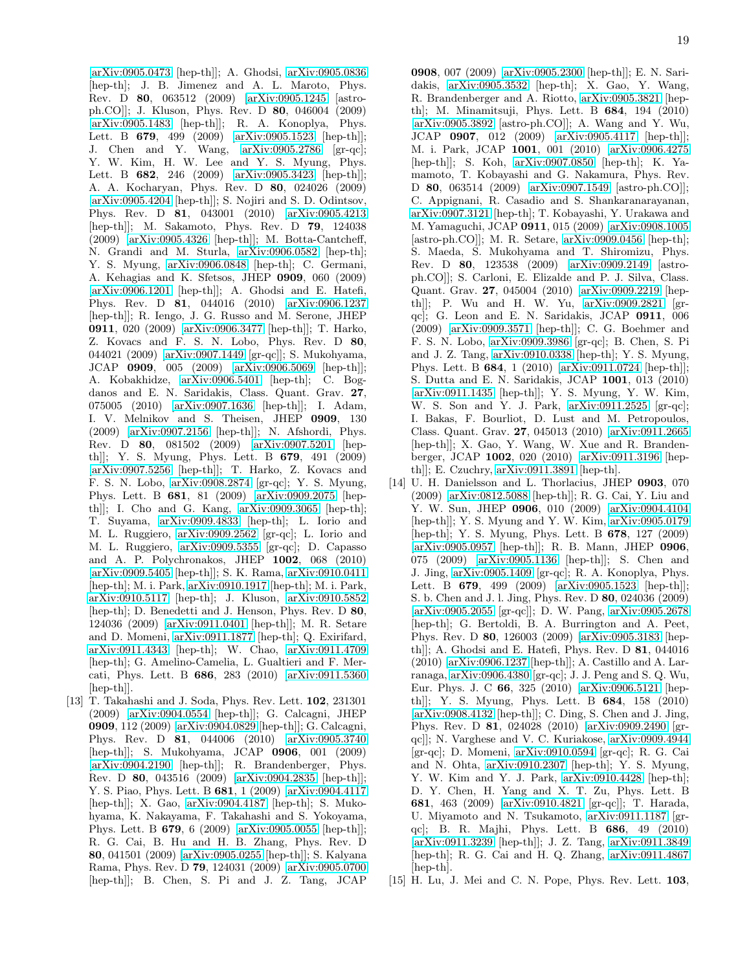[\[arXiv:0905.0473](http://arxiv.org/abs/0905.0473) [hep-th]]; A. Ghodsi, [arXiv:0905.0836](http://arxiv.org/abs/0905.0836) [hep-th]; J. B. Jimenez and A. L. Maroto, Phys. Rev. D 80, 063512 (2009) [\[arXiv:0905.1245](http://arxiv.org/abs/0905.1245) [astroph.CO]]; J. Kluson, Phys. Rev. D 80, 046004 (2009) [\[arXiv:0905.1483](http://arxiv.org/abs/0905.1483) [hep-th]]; R. A. Konoplya, Phys. Lett. B 679, 499 (2009) [\[arXiv:0905.1523](http://arxiv.org/abs/0905.1523) [hep-th]]; J. Chen and Y. Wang, [arXiv:0905.2786](http://arxiv.org/abs/0905.2786) [gr-qc]; Y. W. Kim, H. W. Lee and Y. S. Myung, Phys. Lett. B 682, 246 (2009) [\[arXiv:0905.3423](http://arxiv.org/abs/0905.3423) [hep-th]]; A. A. Kocharyan, Phys. Rev. D 80, 024026 (2009) [\[arXiv:0905.4204](http://arxiv.org/abs/0905.4204) [hep-th]]; S. Nojiri and S. D. Odintsov, Phys. Rev. D 81, 043001 (2010) [\[arXiv:0905.4213](http://arxiv.org/abs/0905.4213) [hep-th]]; M. Sakamoto, Phys. Rev. D 79, 124038 (2009) [\[arXiv:0905.4326](http://arxiv.org/abs/0905.4326) [hep-th]]; M. Botta-Cantcheff, N. Grandi and M. Sturla, [arXiv:0906.0582](http://arxiv.org/abs/0906.0582) [hep-th]; Y. S. Myung, [arXiv:0906.0848](http://arxiv.org/abs/0906.0848) [hep-th]; C. Germani, A. Kehagias and K. Sfetsos, JHEP 0909, 060 (2009)  $[\text{arXiv:0906.1201}$   $[\text{hep-th}]]$ ; A. Ghodsi and E. Hatefi, Phys. Rev. D 81, 044016 (2010) [\[arXiv:0906.1237](http://arxiv.org/abs/0906.1237) [hep-th]]; R. Iengo, J. G. Russo and M. Serone, JHEP 0911, 020 (2009) [\[arXiv:0906.3477](http://arxiv.org/abs/0906.3477) [hep-th]]; T. Harko, Z. Kovacs and F. S. N. Lobo, Phys. Rev. D 80, 044021 (2009) [\[arXiv:0907.1449](http://arxiv.org/abs/0907.1449) [gr-qc]]; S. Mukohyama, JCAP 0909, 005 (2009) [\[arXiv:0906.5069](http://arxiv.org/abs/0906.5069) [hep-th]]; A. Kobakhidze, [arXiv:0906.5401](http://arxiv.org/abs/0906.5401) [hep-th]; C. Bogdanos and E. N. Saridakis, Class. Quant. Grav. 27, 075005 (2010) [\[arXiv:0907.1636](http://arxiv.org/abs/0907.1636) [hep-th]]; I. Adam, I. V. Melnikov and S. Theisen, JHEP 0909, 130 (2009) [\[arXiv:0907.2156](http://arxiv.org/abs/0907.2156) [hep-th]]; N. Afshordi, Phys. Rev. D 80, 081502 (2009) [\[arXiv:0907.5201](http://arxiv.org/abs/0907.5201) [hepth]]; Y. S. Myung, Phys. Lett. B 679, 491 (2009) [\[arXiv:0907.5256](http://arxiv.org/abs/0907.5256) [hep-th]]; T. Harko, Z. Kovacs and F. S. N. Lobo, [arXiv:0908.2874](http://arxiv.org/abs/0908.2874) [gr-qc]; Y. S. Myung, Phys. Lett. B 681, 81 (2009) [\[arXiv:0909.2075](http://arxiv.org/abs/0909.2075) [hepth]]; I. Cho and G. Kang, [arXiv:0909.3065](http://arxiv.org/abs/0909.3065) [hep-th]; T. Suyama, [arXiv:0909.4833](http://arxiv.org/abs/0909.4833) [hep-th]; L. Iorio and M. L. Ruggiero, [arXiv:0909.2562](http://arxiv.org/abs/0909.2562) [gr-qc]; L. Iorio and M. L. Ruggiero, [arXiv:0909.5355](http://arxiv.org/abs/0909.5355) [gr-qc]; D. Capasso and A. P. Polychronakos, JHEP 1002, 068 (2010) [\[arXiv:0909.5405](http://arxiv.org/abs/0909.5405) [hep-th]]; S. K. Rama, [arXiv:0910.0411](http://arxiv.org/abs/0910.0411) [hep-th]; M. i. Park, [arXiv:0910.1917](http://arxiv.org/abs/0910.1917) [hep-th]; M. i. Park, [arXiv:0910.5117](http://arxiv.org/abs/0910.5117) [hep-th]; J. Kluson, [arXiv:0910.5852](http://arxiv.org/abs/0910.5852) [hep-th]; D. Benedetti and J. Henson, Phys. Rev. D 80, 124036 (2009) [\[arXiv:0911.0401](http://arxiv.org/abs/0911.0401) [hep-th]]; M. R. Setare and D. Momeni, [arXiv:0911.1877](http://arxiv.org/abs/0911.1877) [hep-th]; Q. Exirifard, [arXiv:0911.4343](http://arxiv.org/abs/0911.4343) [hep-th]; W. Chao, [arXiv:0911.4709](http://arxiv.org/abs/0911.4709) [hep-th]; G. Amelino-Camelia, L. Gualtieri and F. Mercati, Phys. Lett. B 686, 283 (2010) [\[arXiv:0911.5360](http://arxiv.org/abs/0911.5360) [hep-th]].

<span id="page-18-0"></span>[13] T. Takahashi and J. Soda, Phys. Rev. Lett. 102, 231301 (2009) [\[arXiv:0904.0554](http://arxiv.org/abs/0904.0554) [hep-th]]; G. Calcagni, JHEP 0909, 112 (2009) [\[arXiv:0904.0829](http://arxiv.org/abs/0904.0829) [hep-th]]; G. Calcagni, Phys. Rev. D 81, 044006 (2010) [\[arXiv:0905.3740](http://arxiv.org/abs/0905.3740) [hep-th]]; S. Mukohyama, JCAP 0906, 001 (2009) [\[arXiv:0904.2190](http://arxiv.org/abs/0904.2190) [hep-th]]; R. Brandenberger, Phys. Rev. D 80, 043516 (2009) [\[arXiv:0904.2835](http://arxiv.org/abs/0904.2835) [hep-th]]; Y. S. Piao, Phys. Lett. B 681, 1 (2009) [\[arXiv:0904.4117](http://arxiv.org/abs/0904.4117) [hep-th]]; X. Gao, [arXiv:0904.4187](http://arxiv.org/abs/0904.4187) [hep-th]; S. Mukohyama, K. Nakayama, F. Takahashi and S. Yokoyama, Phys. Lett. B 679, 6 (2009) [\[arXiv:0905.0055](http://arxiv.org/abs/0905.0055) [hep-th]]; R. G. Cai, B. Hu and H. B. Zhang, Phys. Rev. D 80, 041501 (2009) [\[arXiv:0905.0255](http://arxiv.org/abs/0905.0255) [hep-th]]; S. Kalyana Rama, Phys. Rev. D 79, 124031 (2009) [\[arXiv:0905.0700](http://arxiv.org/abs/0905.0700) [hep-th]]; B. Chen, S. Pi and J. Z. Tang, JCAP

0908, 007 (2009) [\[arXiv:0905.2300](http://arxiv.org/abs/0905.2300) [hep-th]]; E. N. Saridakis, [arXiv:0905.3532](http://arxiv.org/abs/0905.3532) [hep-th]; X. Gao, Y. Wang, R. Brandenberger and A. Riotto, [arXiv:0905.3821](http://arxiv.org/abs/0905.3821) [hepth]; M. Minamitsuji, Phys. Lett. B 684, 194 (2010) [\[arXiv:0905.3892](http://arxiv.org/abs/0905.3892) [astro-ph.CO]]; A. Wang and Y. Wu, JCAP 0907, 012 (2009) [\[arXiv:0905.4117](http://arxiv.org/abs/0905.4117) [hep-th]]; M. i. Park, JCAP 1001, 001 (2010) [\[arXiv:0906.4275](http://arxiv.org/abs/0906.4275) [hep-th]]; S. Koh, [arXiv:0907.0850](http://arxiv.org/abs/0907.0850) [hep-th]; K. Yamamoto, T. Kobayashi and G. Nakamura, Phys. Rev. D 80, 063514 (2009) [\[arXiv:0907.1549](http://arxiv.org/abs/0907.1549) [astro-ph.CO]]; C. Appignani, R. Casadio and S. Shankaranarayanan, [arXiv:0907.3121](http://arxiv.org/abs/0907.3121) [hep-th]; T. Kobayashi, Y. Urakawa and M. Yamaguchi, JCAP 0911, 015 (2009) [\[arXiv:0908.1005](http://arxiv.org/abs/0908.1005) [astro-ph.CO]]; M. R. Setare, [arXiv:0909.0456](http://arxiv.org/abs/0909.0456) [hep-th]; S. Maeda, S. Mukohyama and T. Shiromizu, Phys. Rev. D 80, 123538 (2009) [\[arXiv:0909.2149](http://arxiv.org/abs/0909.2149) [astroph.CO]]; S. Carloni, E. Elizalde and P. J. Silva, Class. Quant. Grav. 27, 045004 (2010) [\[arXiv:0909.2219](http://arxiv.org/abs/0909.2219) [hepth]]; P. Wu and H. W. Yu, [arXiv:0909.2821](http://arxiv.org/abs/0909.2821) [grqc]; G. Leon and E. N. Saridakis, JCAP 0911, 006 (2009) [\[arXiv:0909.3571](http://arxiv.org/abs/0909.3571) [hep-th]]; C. G. Boehmer and F. S. N. Lobo, [arXiv:0909.3986](http://arxiv.org/abs/0909.3986) [gr-qc]; B. Chen, S. Pi and J. Z. Tang, [arXiv:0910.0338](http://arxiv.org/abs/0910.0338) [hep-th]; Y. S. Myung, Phys. Lett. B 684, 1 (2010) [\[arXiv:0911.0724](http://arxiv.org/abs/0911.0724) [hep-th]]; S. Dutta and E. N. Saridakis, JCAP 1001, 013 (2010) [\[arXiv:0911.1435](http://arxiv.org/abs/0911.1435) [hep-th]]; Y. S. Myung, Y. W. Kim, W. S. Son and Y. J. Park, [arXiv:0911.2525](http://arxiv.org/abs/0911.2525) [gr-qc]; I. Bakas, F. Bourliot, D. Lust and M. Petropoulos, Class. Quant. Grav. 27, 045013 (2010) [\[arXiv:0911.2665](http://arxiv.org/abs/0911.2665) [hep-th]]; X. Gao, Y. Wang, W. Xue and R. Brandenberger, JCAP 1002, 020 (2010) [\[arXiv:0911.3196](http://arxiv.org/abs/0911.3196) [hepth]]; E. Czuchry, [arXiv:0911.3891](http://arxiv.org/abs/0911.3891) [hep-th].

- <span id="page-18-1"></span>[14] U. H. Danielsson and L. Thorlacius, JHEP 0903, 070 (2009) [\[arXiv:0812.5088](http://arxiv.org/abs/0812.5088) [hep-th]]; R. G. Cai, Y. Liu and Y. W. Sun, JHEP 0906, 010 (2009) [\[arXiv:0904.4104](http://arxiv.org/abs/0904.4104) [hep-th]]; Y. S. Myung and Y. W. Kim, [arXiv:0905.0179](http://arxiv.org/abs/0905.0179) [hep-th]; Y. S. Myung, Phys. Lett. B 678, 127 (2009) [\[arXiv:0905.0957](http://arxiv.org/abs/0905.0957) [hep-th]]; R. B. Mann, JHEP 0906, 075 (2009) [\[arXiv:0905.1136](http://arxiv.org/abs/0905.1136) [hep-th]]; S. Chen and J. Jing, [arXiv:0905.1409](http://arxiv.org/abs/0905.1409) [gr-qc]; R. A. Konoplya, Phys. Lett. B 679, 499 (2009) [\[arXiv:0905.1523](http://arxiv.org/abs/0905.1523) [hep-th]]; S. b. Chen and J. l. Jing, Phys. Rev. D 80, 024036 (2009) [\[arXiv:0905.2055](http://arxiv.org/abs/0905.2055) [gr-qc]]; D. W. Pang, [arXiv:0905.2678](http://arxiv.org/abs/0905.2678) [hep-th]; G. Bertoldi, B. A. Burrington and A. Peet, Phys. Rev. D 80, 126003 (2009) [\[arXiv:0905.3183](http://arxiv.org/abs/0905.3183) [hepth]]; A. Ghodsi and E. Hatefi, Phys. Rev. D 81, 044016 (2010) [\[arXiv:0906.1237](http://arxiv.org/abs/0906.1237) [hep-th]]; A. Castillo and A. Larranaga, [arXiv:0906.4380](http://arxiv.org/abs/0906.4380) [gr-qc]; J. J. Peng and S. Q. Wu, Eur. Phys. J. C 66, 325 (2010) [\[arXiv:0906.5121](http://arxiv.org/abs/0906.5121) [hepth]]; Y. S. Myung, Phys. Lett. B 684, 158 (2010) [\[arXiv:0908.4132](http://arxiv.org/abs/0908.4132) [hep-th]]; C. Ding, S. Chen and J. Jing, Phys. Rev. D 81, 024028 (2010) [\[arXiv:0909.2490](http://arxiv.org/abs/0909.2490) [grqc]]; N. Varghese and V. C. Kuriakose, [arXiv:0909.4944](http://arxiv.org/abs/0909.4944) [gr-qc]; D. Momeni, [arXiv:0910.0594](http://arxiv.org/abs/0910.0594) [gr-qc]; R. G. Cai and N. Ohta, [arXiv:0910.2307](http://arxiv.org/abs/0910.2307) [hep-th]; Y. S. Myung, Y. W. Kim and Y. J. Park, [arXiv:0910.4428](http://arxiv.org/abs/0910.4428) [hep-th]; D. Y. Chen, H. Yang and X. T. Zu, Phys. Lett. B 681, 463 (2009) [\[arXiv:0910.4821](http://arxiv.org/abs/0910.4821) [gr-qc]]; T. Harada, U. Miyamoto and N. Tsukamoto, [arXiv:0911.1187](http://arxiv.org/abs/0911.1187) [grqc]; B. R. Majhi, Phys. Lett. B 686, 49 (2010) [\[arXiv:0911.3239](http://arxiv.org/abs/0911.3239) [hep-th]]; J. Z. Tang, [arXiv:0911.3849](http://arxiv.org/abs/0911.3849) [hep-th]; R. G. Cai and H. Q. Zhang, [arXiv:0911.4867](http://arxiv.org/abs/0911.4867) [hep-th].
- <span id="page-18-2"></span>[15] H. Lu, J. Mei and C. N. Pope, Phys. Rev. Lett. 103,